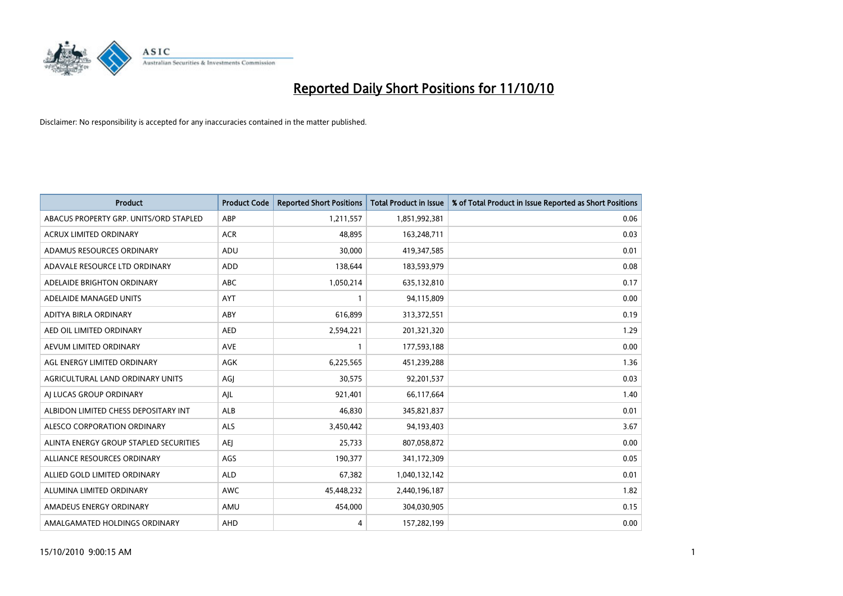

| <b>Product</b>                         | <b>Product Code</b> | <b>Reported Short Positions</b> | Total Product in Issue | % of Total Product in Issue Reported as Short Positions |
|----------------------------------------|---------------------|---------------------------------|------------------------|---------------------------------------------------------|
| ABACUS PROPERTY GRP. UNITS/ORD STAPLED | ABP                 | 1,211,557                       | 1,851,992,381          | 0.06                                                    |
| <b>ACRUX LIMITED ORDINARY</b>          | <b>ACR</b>          | 48.895                          | 163,248,711            | 0.03                                                    |
| ADAMUS RESOURCES ORDINARY              | ADU                 | 30.000                          | 419,347,585            | 0.01                                                    |
| ADAVALE RESOURCE LTD ORDINARY          | ADD                 | 138,644                         | 183,593,979            | 0.08                                                    |
| ADELAIDE BRIGHTON ORDINARY             | <b>ABC</b>          | 1,050,214                       | 635,132,810            | 0.17                                                    |
| ADELAIDE MANAGED UNITS                 | AYT                 |                                 | 94,115,809             | 0.00                                                    |
| ADITYA BIRLA ORDINARY                  | ABY                 | 616.899                         | 313,372,551            | 0.19                                                    |
| AED OIL LIMITED ORDINARY               | <b>AED</b>          | 2,594,221                       | 201,321,320            | 1.29                                                    |
| AEVUM LIMITED ORDINARY                 | <b>AVE</b>          |                                 | 177,593,188            | 0.00                                                    |
| AGL ENERGY LIMITED ORDINARY            | <b>AGK</b>          | 6,225,565                       | 451,239,288            | 1.36                                                    |
| AGRICULTURAL LAND ORDINARY UNITS       | AGJ                 | 30,575                          | 92,201,537             | 0.03                                                    |
| AI LUCAS GROUP ORDINARY                | AJL                 | 921,401                         | 66,117,664             | 1.40                                                    |
| ALBIDON LIMITED CHESS DEPOSITARY INT   | ALB                 | 46.830                          | 345,821,837            | 0.01                                                    |
| ALESCO CORPORATION ORDINARY            | <b>ALS</b>          | 3,450,442                       | 94,193,403             | 3.67                                                    |
| ALINTA ENERGY GROUP STAPLED SECURITIES | <b>AEI</b>          | 25,733                          | 807,058,872            | 0.00                                                    |
| ALLIANCE RESOURCES ORDINARY            | AGS                 | 190,377                         | 341,172,309            | 0.05                                                    |
| ALLIED GOLD LIMITED ORDINARY           | <b>ALD</b>          | 67,382                          | 1,040,132,142          | 0.01                                                    |
| ALUMINA LIMITED ORDINARY               | <b>AWC</b>          | 45,448,232                      | 2,440,196,187          | 1.82                                                    |
| AMADEUS ENERGY ORDINARY                | AMU                 | 454,000                         | 304,030,905            | 0.15                                                    |
| AMALGAMATED HOLDINGS ORDINARY          | AHD                 | 4                               | 157,282,199            | 0.00                                                    |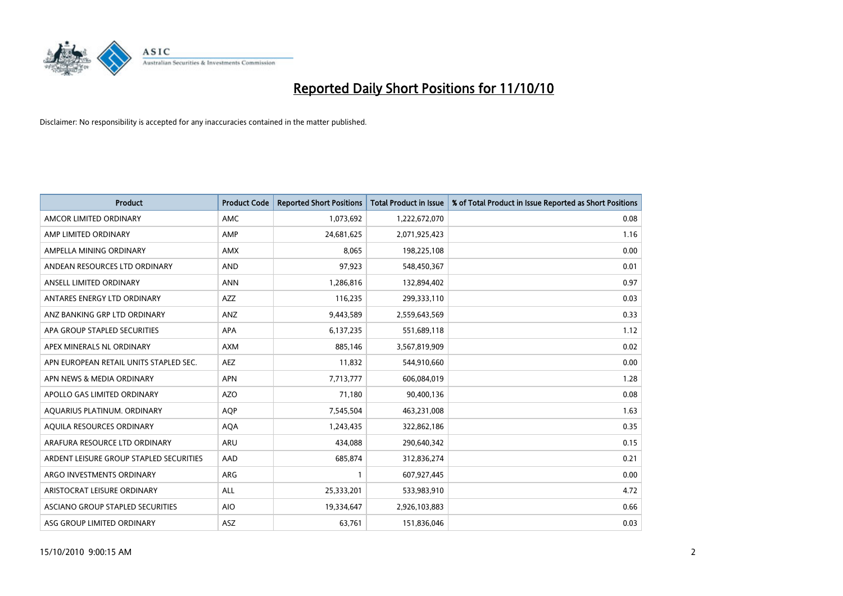

| <b>Product</b>                          | <b>Product Code</b> | <b>Reported Short Positions</b> | <b>Total Product in Issue</b> | % of Total Product in Issue Reported as Short Positions |
|-----------------------------------------|---------------------|---------------------------------|-------------------------------|---------------------------------------------------------|
| AMCOR LIMITED ORDINARY                  | AMC                 | 1,073,692                       | 1,222,672,070                 | 0.08                                                    |
| AMP LIMITED ORDINARY                    | AMP                 | 24,681,625                      | 2,071,925,423                 | 1.16                                                    |
| AMPELLA MINING ORDINARY                 | <b>AMX</b>          | 8,065                           | 198,225,108                   | 0.00                                                    |
| ANDEAN RESOURCES LTD ORDINARY           | <b>AND</b>          | 97,923                          | 548,450,367                   | 0.01                                                    |
| ANSELL LIMITED ORDINARY                 | <b>ANN</b>          | 1,286,816                       | 132,894,402                   | 0.97                                                    |
| ANTARES ENERGY LTD ORDINARY             | <b>AZZ</b>          | 116,235                         | 299,333,110                   | 0.03                                                    |
| ANZ BANKING GRP LTD ORDINARY            | ANZ                 | 9,443,589                       | 2,559,643,569                 | 0.33                                                    |
| APA GROUP STAPLED SECURITIES            | <b>APA</b>          | 6,137,235                       | 551,689,118                   | 1.12                                                    |
| APEX MINERALS NL ORDINARY               | <b>AXM</b>          | 885,146                         | 3,567,819,909                 | 0.02                                                    |
| APN EUROPEAN RETAIL UNITS STAPLED SEC.  | <b>AEZ</b>          | 11,832                          | 544,910,660                   | 0.00                                                    |
| APN NEWS & MEDIA ORDINARY               | <b>APN</b>          | 7,713,777                       | 606,084,019                   | 1.28                                                    |
| APOLLO GAS LIMITED ORDINARY             | <b>AZO</b>          | 71,180                          | 90,400,136                    | 0.08                                                    |
| AQUARIUS PLATINUM. ORDINARY             | <b>AQP</b>          | 7,545,504                       | 463,231,008                   | 1.63                                                    |
| AQUILA RESOURCES ORDINARY               | <b>AQA</b>          | 1,243,435                       | 322,862,186                   | 0.35                                                    |
| ARAFURA RESOURCE LTD ORDINARY           | <b>ARU</b>          | 434,088                         | 290,640,342                   | 0.15                                                    |
| ARDENT LEISURE GROUP STAPLED SECURITIES | AAD                 | 685.874                         | 312,836,274                   | 0.21                                                    |
| ARGO INVESTMENTS ORDINARY               | ARG                 |                                 | 607,927,445                   | 0.00                                                    |
| ARISTOCRAT LEISURE ORDINARY             | <b>ALL</b>          | 25,333,201                      | 533,983,910                   | 4.72                                                    |
| ASCIANO GROUP STAPLED SECURITIES        | <b>AIO</b>          | 19,334,647                      | 2,926,103,883                 | 0.66                                                    |
| ASG GROUP LIMITED ORDINARY              | <b>ASZ</b>          | 63,761                          | 151,836,046                   | 0.03                                                    |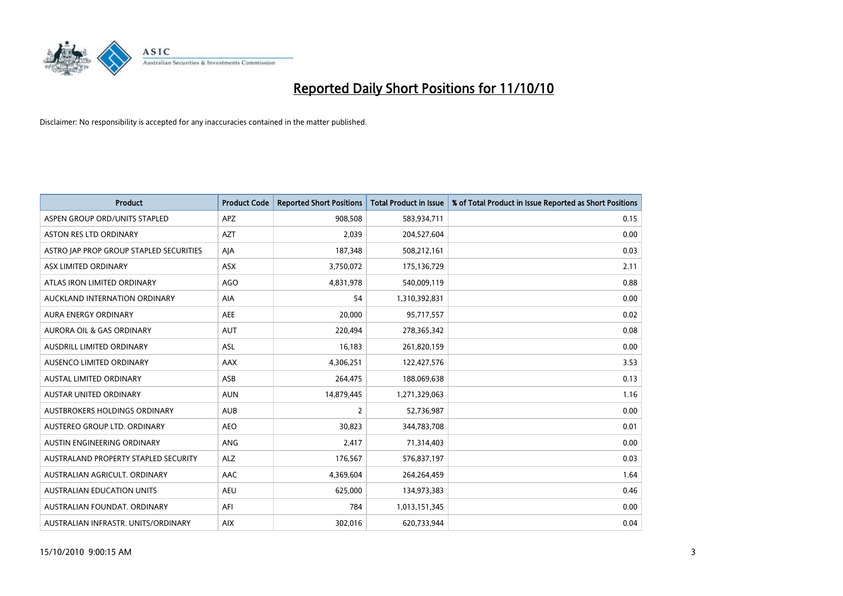

| <b>Product</b>                          | <b>Product Code</b> | <b>Reported Short Positions</b> | <b>Total Product in Issue</b> | % of Total Product in Issue Reported as Short Positions |
|-----------------------------------------|---------------------|---------------------------------|-------------------------------|---------------------------------------------------------|
| ASPEN GROUP ORD/UNITS STAPLED           | <b>APZ</b>          | 908,508                         | 583,934,711                   | 0.15                                                    |
| ASTON RES LTD ORDINARY                  | <b>AZT</b>          | 2,039                           | 204,527,604                   | 0.00                                                    |
| ASTRO JAP PROP GROUP STAPLED SECURITIES | AJA                 | 187,348                         | 508,212,161                   | 0.03                                                    |
| ASX LIMITED ORDINARY                    | ASX                 | 3,750,072                       | 175,136,729                   | 2.11                                                    |
| ATLAS IRON LIMITED ORDINARY             | <b>AGO</b>          | 4,831,978                       | 540,009,119                   | 0.88                                                    |
| AUCKLAND INTERNATION ORDINARY           | <b>AIA</b>          | 54                              | 1,310,392,831                 | 0.00                                                    |
| <b>AURA ENERGY ORDINARY</b>             | <b>AEE</b>          | 20,000                          | 95,717,557                    | 0.02                                                    |
| AURORA OIL & GAS ORDINARY               | <b>AUT</b>          | 220,494                         | 278,365,342                   | 0.08                                                    |
| AUSDRILL LIMITED ORDINARY               | <b>ASL</b>          | 16,183                          | 261,820,159                   | 0.00                                                    |
| AUSENCO LIMITED ORDINARY                | AAX                 | 4,306,251                       | 122,427,576                   | 3.53                                                    |
| AUSTAL LIMITED ORDINARY                 | ASB                 | 264,475                         | 188,069,638                   | 0.13                                                    |
| <b>AUSTAR UNITED ORDINARY</b>           | <b>AUN</b>          | 14,879,445                      | 1,271,329,063                 | 1.16                                                    |
| AUSTBROKERS HOLDINGS ORDINARY           | <b>AUB</b>          | $\overline{2}$                  | 52,736,987                    | 0.00                                                    |
| AUSTEREO GROUP LTD. ORDINARY            | <b>AEO</b>          | 30,823                          | 344,783,708                   | 0.01                                                    |
| AUSTIN ENGINEERING ORDINARY             | ANG                 | 2,417                           | 71,314,403                    | 0.00                                                    |
| AUSTRALAND PROPERTY STAPLED SECURITY    | <b>ALZ</b>          | 176,567                         | 576,837,197                   | 0.03                                                    |
| AUSTRALIAN AGRICULT. ORDINARY           | AAC                 | 4,369,604                       | 264,264,459                   | 1.64                                                    |
| AUSTRALIAN EDUCATION UNITS              | <b>AEU</b>          | 625,000                         | 134,973,383                   | 0.46                                                    |
| AUSTRALIAN FOUNDAT, ORDINARY            | AFI                 | 784                             | 1,013,151,345                 | 0.00                                                    |
| AUSTRALIAN INFRASTR. UNITS/ORDINARY     | <b>AIX</b>          | 302,016                         | 620,733,944                   | 0.04                                                    |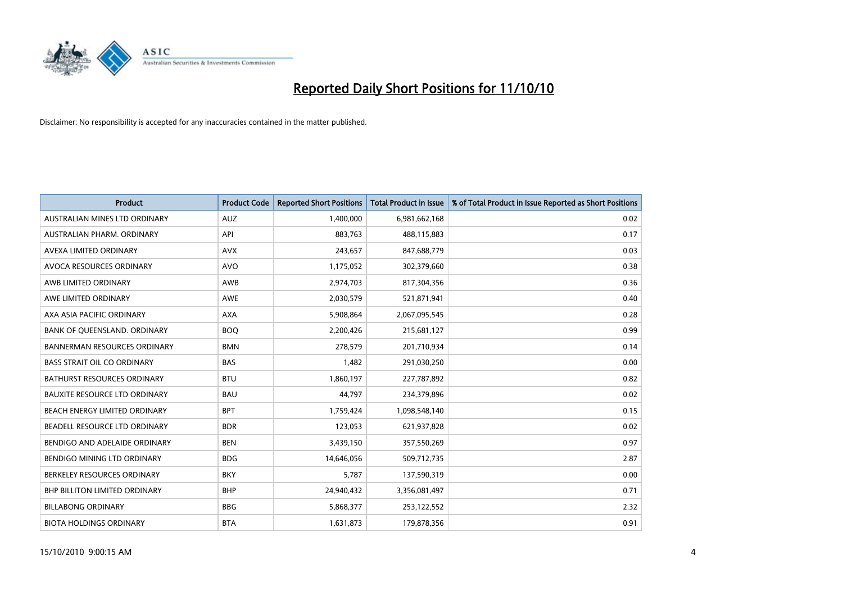

| <b>Product</b>                       | <b>Product Code</b> | <b>Reported Short Positions</b> | <b>Total Product in Issue</b> | % of Total Product in Issue Reported as Short Positions |
|--------------------------------------|---------------------|---------------------------------|-------------------------------|---------------------------------------------------------|
| AUSTRALIAN MINES LTD ORDINARY        | <b>AUZ</b>          | 1,400,000                       | 6,981,662,168                 | 0.02                                                    |
| AUSTRALIAN PHARM. ORDINARY           | API                 | 883,763                         | 488,115,883                   | 0.17                                                    |
| AVEXA LIMITED ORDINARY               | <b>AVX</b>          | 243,657                         | 847,688,779                   | 0.03                                                    |
| AVOCA RESOURCES ORDINARY             | <b>AVO</b>          | 1,175,052                       | 302,379,660                   | 0.38                                                    |
| AWB LIMITED ORDINARY                 | <b>AWB</b>          | 2,974,703                       | 817,304,356                   | 0.36                                                    |
| AWE LIMITED ORDINARY                 | <b>AWE</b>          | 2,030,579                       | 521,871,941                   | 0.40                                                    |
| AXA ASIA PACIFIC ORDINARY            | <b>AXA</b>          | 5,908,864                       | 2,067,095,545                 | 0.28                                                    |
| BANK OF QUEENSLAND. ORDINARY         | <b>BOO</b>          | 2,200,426                       | 215,681,127                   | 0.99                                                    |
| <b>BANNERMAN RESOURCES ORDINARY</b>  | <b>BMN</b>          | 278,579                         | 201,710,934                   | 0.14                                                    |
| <b>BASS STRAIT OIL CO ORDINARY</b>   | <b>BAS</b>          | 1,482                           | 291,030,250                   | 0.00                                                    |
| <b>BATHURST RESOURCES ORDINARY</b>   | <b>BTU</b>          | 1,860,197                       | 227,787,892                   | 0.82                                                    |
| <b>BAUXITE RESOURCE LTD ORDINARY</b> | <b>BAU</b>          | 44.797                          | 234,379,896                   | 0.02                                                    |
| BEACH ENERGY LIMITED ORDINARY        | <b>BPT</b>          | 1,759,424                       | 1,098,548,140                 | 0.15                                                    |
| BEADELL RESOURCE LTD ORDINARY        | <b>BDR</b>          | 123,053                         | 621,937,828                   | 0.02                                                    |
| BENDIGO AND ADELAIDE ORDINARY        | <b>BEN</b>          | 3,439,150                       | 357,550,269                   | 0.97                                                    |
| BENDIGO MINING LTD ORDINARY          | <b>BDG</b>          | 14,646,056                      | 509,712,735                   | 2.87                                                    |
| BERKELEY RESOURCES ORDINARY          | <b>BKY</b>          | 5,787                           | 137,590,319                   | 0.00                                                    |
| <b>BHP BILLITON LIMITED ORDINARY</b> | <b>BHP</b>          | 24,940,432                      | 3,356,081,497                 | 0.71                                                    |
| <b>BILLABONG ORDINARY</b>            | <b>BBG</b>          | 5,868,377                       | 253,122,552                   | 2.32                                                    |
| <b>BIOTA HOLDINGS ORDINARY</b>       | <b>BTA</b>          | 1,631,873                       | 179,878,356                   | 0.91                                                    |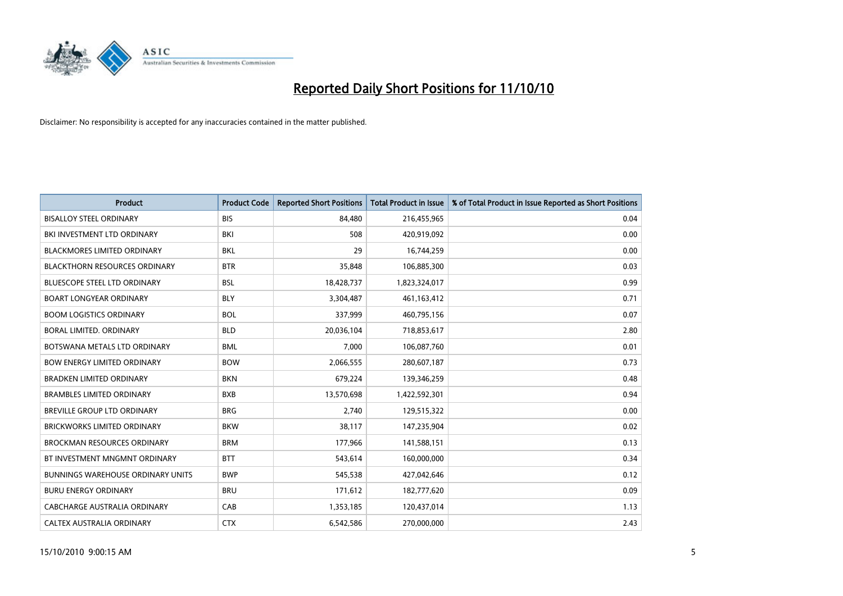

| <b>Product</b>                       | <b>Product Code</b> | <b>Reported Short Positions</b> | Total Product in Issue | % of Total Product in Issue Reported as Short Positions |
|--------------------------------------|---------------------|---------------------------------|------------------------|---------------------------------------------------------|
| <b>BISALLOY STEEL ORDINARY</b>       | <b>BIS</b>          | 84,480                          | 216,455,965            | 0.04                                                    |
| BKI INVESTMENT LTD ORDINARY          | BKI                 | 508                             | 420,919,092            | 0.00                                                    |
| <b>BLACKMORES LIMITED ORDINARY</b>   | <b>BKL</b>          | 29                              | 16,744,259             | 0.00                                                    |
| <b>BLACKTHORN RESOURCES ORDINARY</b> | <b>BTR</b>          | 35,848                          | 106,885,300            | 0.03                                                    |
| <b>BLUESCOPE STEEL LTD ORDINARY</b>  | <b>BSL</b>          | 18,428,737                      | 1,823,324,017          | 0.99                                                    |
| <b>BOART LONGYEAR ORDINARY</b>       | <b>BLY</b>          | 3,304,487                       | 461,163,412            | 0.71                                                    |
| <b>BOOM LOGISTICS ORDINARY</b>       | <b>BOL</b>          | 337,999                         | 460,795,156            | 0.07                                                    |
| BORAL LIMITED. ORDINARY              | <b>BLD</b>          | 20,036,104                      | 718,853,617            | 2.80                                                    |
| BOTSWANA METALS LTD ORDINARY         | <b>BML</b>          | 7,000                           | 106,087,760            | 0.01                                                    |
| <b>BOW ENERGY LIMITED ORDINARY</b>   | <b>BOW</b>          | 2,066,555                       | 280,607,187            | 0.73                                                    |
| <b>BRADKEN LIMITED ORDINARY</b>      | <b>BKN</b>          | 679,224                         | 139,346,259            | 0.48                                                    |
| <b>BRAMBLES LIMITED ORDINARY</b>     | <b>BXB</b>          | 13,570,698                      | 1,422,592,301          | 0.94                                                    |
| BREVILLE GROUP LTD ORDINARY          | <b>BRG</b>          | 2,740                           | 129,515,322            | 0.00                                                    |
| <b>BRICKWORKS LIMITED ORDINARY</b>   | <b>BKW</b>          | 38,117                          | 147,235,904            | 0.02                                                    |
| <b>BROCKMAN RESOURCES ORDINARY</b>   | <b>BRM</b>          | 177,966                         | 141,588,151            | 0.13                                                    |
| BT INVESTMENT MNGMNT ORDINARY        | <b>BTT</b>          | 543,614                         | 160,000,000            | 0.34                                                    |
| BUNNINGS WAREHOUSE ORDINARY UNITS    | <b>BWP</b>          | 545,538                         | 427,042,646            | 0.12                                                    |
| <b>BURU ENERGY ORDINARY</b>          | <b>BRU</b>          | 171,612                         | 182,777,620            | 0.09                                                    |
| <b>CABCHARGE AUSTRALIA ORDINARY</b>  | CAB                 | 1,353,185                       | 120,437,014            | 1.13                                                    |
| CALTEX AUSTRALIA ORDINARY            | <b>CTX</b>          | 6,542,586                       | 270,000,000            | 2.43                                                    |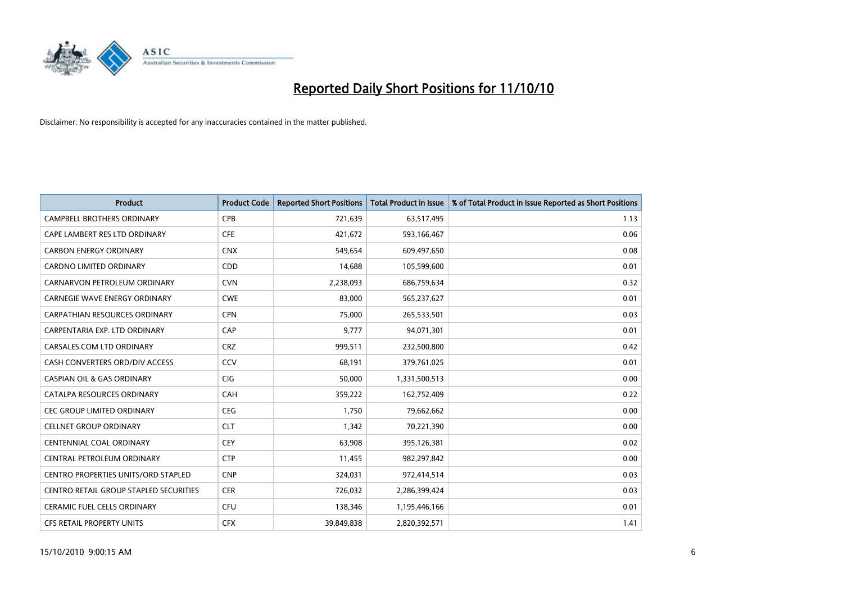

| <b>Product</b>                                | <b>Product Code</b> | <b>Reported Short Positions</b> | Total Product in Issue | % of Total Product in Issue Reported as Short Positions |
|-----------------------------------------------|---------------------|---------------------------------|------------------------|---------------------------------------------------------|
| <b>CAMPBELL BROTHERS ORDINARY</b>             | <b>CPB</b>          | 721,639                         | 63,517,495             | 1.13                                                    |
| CAPE LAMBERT RES LTD ORDINARY                 | <b>CFE</b>          | 421,672                         | 593,166,467            | 0.06                                                    |
| <b>CARBON ENERGY ORDINARY</b>                 | <b>CNX</b>          | 549,654                         | 609,497,650            | 0.08                                                    |
| CARDNO LIMITED ORDINARY                       | CDD                 | 14,688                          | 105,599,600            | 0.01                                                    |
| CARNARVON PETROLEUM ORDINARY                  | <b>CVN</b>          | 2,238,093                       | 686,759,634            | 0.32                                                    |
| <b>CARNEGIE WAVE ENERGY ORDINARY</b>          | <b>CWE</b>          | 83,000                          | 565,237,627            | 0.01                                                    |
| <b>CARPATHIAN RESOURCES ORDINARY</b>          | <b>CPN</b>          | 75.000                          | 265,533,501            | 0.03                                                    |
| CARPENTARIA EXP. LTD ORDINARY                 | CAP                 | 9,777                           | 94,071,301             | 0.01                                                    |
| CARSALES.COM LTD ORDINARY                     | <b>CRZ</b>          | 999,511                         | 232,500,800            | 0.42                                                    |
| CASH CONVERTERS ORD/DIV ACCESS                | CCV                 | 68,191                          | 379,761,025            | 0.01                                                    |
| <b>CASPIAN OIL &amp; GAS ORDINARY</b>         | <b>CIG</b>          | 50,000                          | 1,331,500,513          | 0.00                                                    |
| CATALPA RESOURCES ORDINARY                    | CAH                 | 359,222                         | 162,752,409            | 0.22                                                    |
| <b>CEC GROUP LIMITED ORDINARY</b>             | <b>CEG</b>          | 1,750                           | 79,662,662             | 0.00                                                    |
| <b>CELLNET GROUP ORDINARY</b>                 | <b>CLT</b>          | 1,342                           | 70,221,390             | 0.00                                                    |
| <b>CENTENNIAL COAL ORDINARY</b>               | <b>CEY</b>          | 63,908                          | 395,126,381            | 0.02                                                    |
| CENTRAL PETROLEUM ORDINARY                    | <b>CTP</b>          | 11,455                          | 982,297,842            | 0.00                                                    |
| <b>CENTRO PROPERTIES UNITS/ORD STAPLED</b>    | <b>CNP</b>          | 324,031                         | 972,414,514            | 0.03                                                    |
| <b>CENTRO RETAIL GROUP STAPLED SECURITIES</b> | <b>CER</b>          | 726,032                         | 2,286,399,424          | 0.03                                                    |
| <b>CERAMIC FUEL CELLS ORDINARY</b>            | <b>CFU</b>          | 138,346                         | 1,195,446,166          | 0.01                                                    |
| <b>CFS RETAIL PROPERTY UNITS</b>              | <b>CFX</b>          | 39,849,838                      | 2,820,392,571          | 1.41                                                    |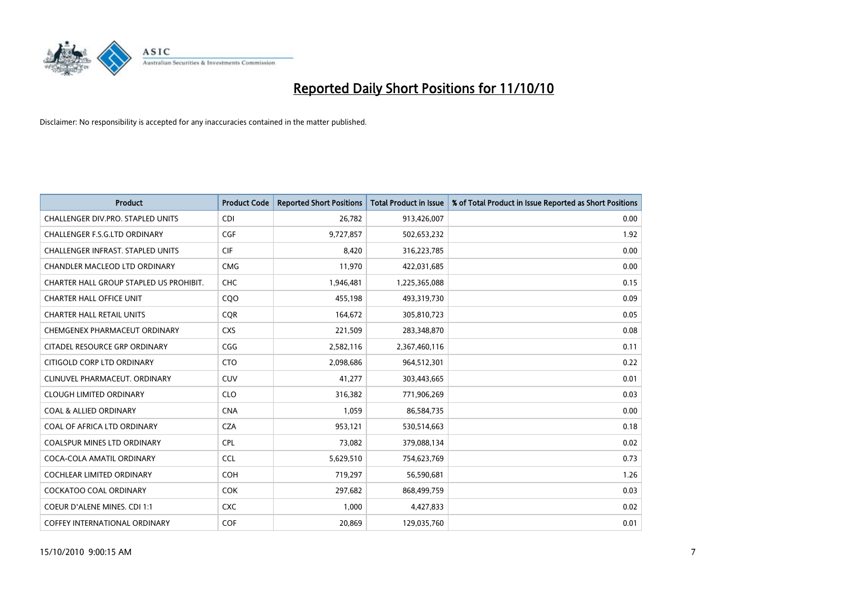

| <b>Product</b>                           | <b>Product Code</b> | <b>Reported Short Positions</b> | Total Product in Issue | % of Total Product in Issue Reported as Short Positions |
|------------------------------------------|---------------------|---------------------------------|------------------------|---------------------------------------------------------|
| <b>CHALLENGER DIV.PRO. STAPLED UNITS</b> | <b>CDI</b>          | 26,782                          | 913,426,007            | 0.00                                                    |
| CHALLENGER F.S.G.LTD ORDINARY            | <b>CGF</b>          | 9,727,857                       | 502,653,232            | 1.92                                                    |
| CHALLENGER INFRAST. STAPLED UNITS        | <b>CIF</b>          | 8,420                           | 316,223,785            | 0.00                                                    |
| CHANDLER MACLEOD LTD ORDINARY            | <b>CMG</b>          | 11,970                          | 422,031,685            | 0.00                                                    |
| CHARTER HALL GROUP STAPLED US PROHIBIT.  | <b>CHC</b>          | 1,946,481                       | 1,225,365,088          | 0.15                                                    |
| <b>CHARTER HALL OFFICE UNIT</b>          | CQO                 | 455,198                         | 493,319,730            | 0.09                                                    |
| <b>CHARTER HALL RETAIL UNITS</b>         | <b>COR</b>          | 164,672                         | 305,810,723            | 0.05                                                    |
| CHEMGENEX PHARMACEUT ORDINARY            | <b>CXS</b>          | 221,509                         | 283,348,870            | 0.08                                                    |
| CITADEL RESOURCE GRP ORDINARY            | CGG                 | 2,582,116                       | 2,367,460,116          | 0.11                                                    |
| CITIGOLD CORP LTD ORDINARY               | <b>CTO</b>          | 2,098,686                       | 964,512,301            | 0.22                                                    |
| CLINUVEL PHARMACEUT. ORDINARY            | <b>CUV</b>          | 41,277                          | 303,443,665            | 0.01                                                    |
| <b>CLOUGH LIMITED ORDINARY</b>           | <b>CLO</b>          | 316,382                         | 771,906,269            | 0.03                                                    |
| <b>COAL &amp; ALLIED ORDINARY</b>        | <b>CNA</b>          | 1,059                           | 86,584,735             | 0.00                                                    |
| COAL OF AFRICA LTD ORDINARY              | <b>CZA</b>          | 953,121                         | 530,514,663            | 0.18                                                    |
| <b>COALSPUR MINES LTD ORDINARY</b>       | <b>CPL</b>          | 73,082                          | 379,088,134            | 0.02                                                    |
| COCA-COLA AMATIL ORDINARY                | <b>CCL</b>          | 5,629,510                       | 754,623,769            | 0.73                                                    |
| <b>COCHLEAR LIMITED ORDINARY</b>         | <b>COH</b>          | 719,297                         | 56,590,681             | 1.26                                                    |
| COCKATOO COAL ORDINARY                   | <b>COK</b>          | 297,682                         | 868,499,759            | 0.03                                                    |
| <b>COEUR D'ALENE MINES. CDI 1:1</b>      | <b>CXC</b>          | 1.000                           | 4,427,833              | 0.02                                                    |
| COFFEY INTERNATIONAL ORDINARY            | COF                 | 20,869                          | 129,035,760            | 0.01                                                    |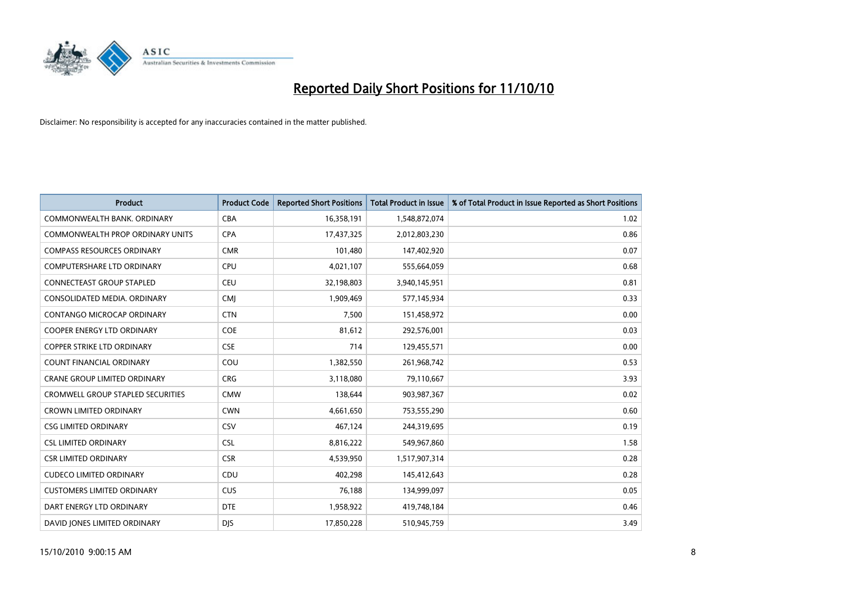

| <b>Product</b>                           | <b>Product Code</b> | <b>Reported Short Positions</b> | <b>Total Product in Issue</b> | % of Total Product in Issue Reported as Short Positions |
|------------------------------------------|---------------------|---------------------------------|-------------------------------|---------------------------------------------------------|
| COMMONWEALTH BANK, ORDINARY              | <b>CBA</b>          | 16,358,191                      | 1,548,872,074                 | 1.02                                                    |
| COMMONWEALTH PROP ORDINARY UNITS         | <b>CPA</b>          | 17,437,325                      | 2,012,803,230                 | 0.86                                                    |
| <b>COMPASS RESOURCES ORDINARY</b>        | <b>CMR</b>          | 101,480                         | 147,402,920                   | 0.07                                                    |
| COMPUTERSHARE LTD ORDINARY               | <b>CPU</b>          | 4,021,107                       | 555,664,059                   | 0.68                                                    |
| <b>CONNECTEAST GROUP STAPLED</b>         | <b>CEU</b>          | 32,198,803                      | 3,940,145,951                 | 0.81                                                    |
| CONSOLIDATED MEDIA, ORDINARY             | <b>CMJ</b>          | 1,909,469                       | 577,145,934                   | 0.33                                                    |
| CONTANGO MICROCAP ORDINARY               | <b>CTN</b>          | 7,500                           | 151,458,972                   | 0.00                                                    |
| <b>COOPER ENERGY LTD ORDINARY</b>        | <b>COE</b>          | 81,612                          | 292,576,001                   | 0.03                                                    |
| COPPER STRIKE LTD ORDINARY               | <b>CSE</b>          | 714                             | 129,455,571                   | 0.00                                                    |
| <b>COUNT FINANCIAL ORDINARY</b>          | COU                 | 1,382,550                       | 261,968,742                   | 0.53                                                    |
| CRANE GROUP LIMITED ORDINARY             | <b>CRG</b>          | 3,118,080                       | 79,110,667                    | 3.93                                                    |
| <b>CROMWELL GROUP STAPLED SECURITIES</b> | <b>CMW</b>          | 138,644                         | 903,987,367                   | 0.02                                                    |
| <b>CROWN LIMITED ORDINARY</b>            | <b>CWN</b>          | 4,661,650                       | 753,555,290                   | 0.60                                                    |
| <b>CSG LIMITED ORDINARY</b>              | CSV                 | 467,124                         | 244,319,695                   | 0.19                                                    |
| <b>CSL LIMITED ORDINARY</b>              | <b>CSL</b>          | 8,816,222                       | 549,967,860                   | 1.58                                                    |
| <b>CSR LIMITED ORDINARY</b>              | <b>CSR</b>          | 4,539,950                       | 1,517,907,314                 | 0.28                                                    |
| <b>CUDECO LIMITED ORDINARY</b>           | CDU                 | 402,298                         | 145,412,643                   | 0.28                                                    |
| <b>CUSTOMERS LIMITED ORDINARY</b>        | CUS                 | 76,188                          | 134,999,097                   | 0.05                                                    |
| DART ENERGY LTD ORDINARY                 | <b>DTE</b>          | 1,958,922                       | 419,748,184                   | 0.46                                                    |
| DAVID JONES LIMITED ORDINARY             | <b>DIS</b>          | 17.850.228                      | 510,945,759                   | 3.49                                                    |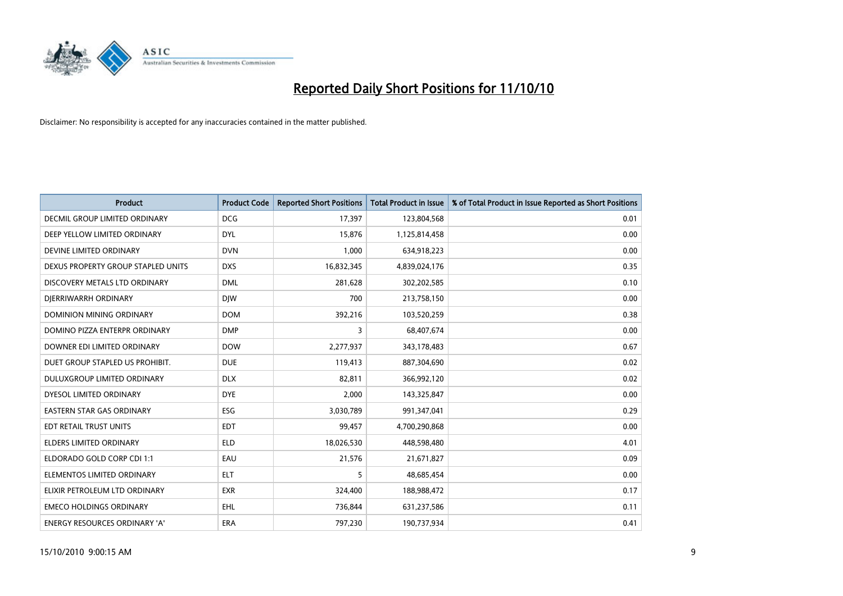

| <b>Product</b>                     | <b>Product Code</b> | <b>Reported Short Positions</b> | <b>Total Product in Issue</b> | % of Total Product in Issue Reported as Short Positions |
|------------------------------------|---------------------|---------------------------------|-------------------------------|---------------------------------------------------------|
| DECMIL GROUP LIMITED ORDINARY      | <b>DCG</b>          | 17,397                          | 123,804,568                   | 0.01                                                    |
| DEEP YELLOW LIMITED ORDINARY       | <b>DYL</b>          | 15,876                          | 1,125,814,458                 | 0.00                                                    |
| DEVINE LIMITED ORDINARY            | <b>DVN</b>          | 1,000                           | 634,918,223                   | 0.00                                                    |
| DEXUS PROPERTY GROUP STAPLED UNITS | <b>DXS</b>          | 16,832,345                      | 4,839,024,176                 | 0.35                                                    |
| DISCOVERY METALS LTD ORDINARY      | <b>DML</b>          | 281,628                         | 302,202,585                   | 0.10                                                    |
| DIERRIWARRH ORDINARY               | <b>DIW</b>          | 700                             | 213,758,150                   | 0.00                                                    |
| DOMINION MINING ORDINARY           | <b>DOM</b>          | 392,216                         | 103,520,259                   | 0.38                                                    |
| DOMINO PIZZA ENTERPR ORDINARY      | <b>DMP</b>          | 3                               | 68,407,674                    | 0.00                                                    |
| DOWNER EDI LIMITED ORDINARY        | <b>DOW</b>          | 2,277,937                       | 343,178,483                   | 0.67                                                    |
| DUET GROUP STAPLED US PROHIBIT.    | <b>DUE</b>          | 119,413                         | 887,304,690                   | 0.02                                                    |
| <b>DULUXGROUP LIMITED ORDINARY</b> | <b>DLX</b>          | 82,811                          | 366,992,120                   | 0.02                                                    |
| DYESOL LIMITED ORDINARY            | <b>DYE</b>          | 2,000                           | 143,325,847                   | 0.00                                                    |
| <b>EASTERN STAR GAS ORDINARY</b>   | ESG                 | 3,030,789                       | 991,347,041                   | 0.29                                                    |
| EDT RETAIL TRUST UNITS             | <b>EDT</b>          | 99,457                          | 4,700,290,868                 | 0.00                                                    |
| <b>ELDERS LIMITED ORDINARY</b>     | <b>ELD</b>          | 18,026,530                      | 448,598,480                   | 4.01                                                    |
| ELDORADO GOLD CORP CDI 1:1         | EAU                 | 21,576                          | 21,671,827                    | 0.09                                                    |
| ELEMENTOS LIMITED ORDINARY         | <b>ELT</b>          | 5                               | 48,685,454                    | 0.00                                                    |
| ELIXIR PETROLEUM LTD ORDINARY      | <b>EXR</b>          | 324,400                         | 188,988,472                   | 0.17                                                    |
| <b>EMECO HOLDINGS ORDINARY</b>     | <b>EHL</b>          | 736,844                         | 631,237,586                   | 0.11                                                    |
| ENERGY RESOURCES ORDINARY 'A'      | <b>ERA</b>          | 797,230                         | 190,737,934                   | 0.41                                                    |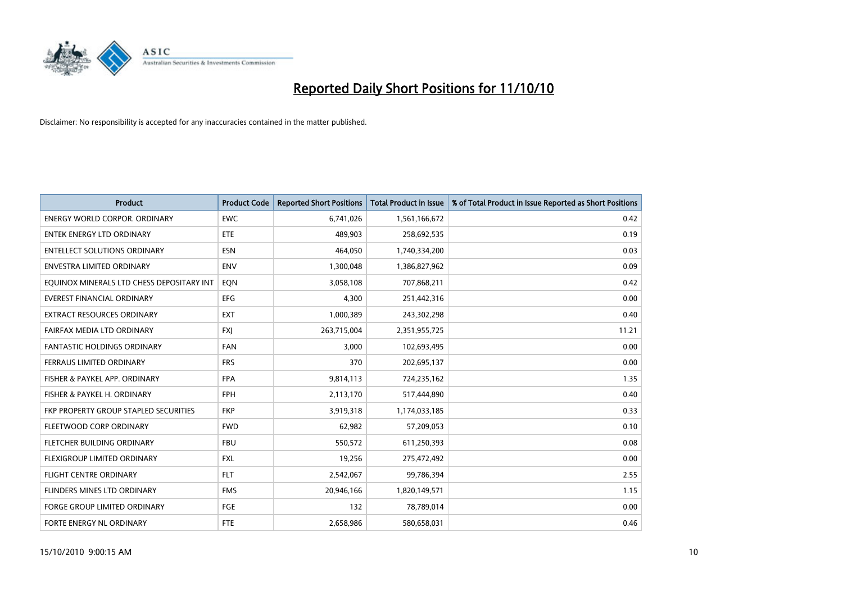

| <b>Product</b>                            | <b>Product Code</b> | <b>Reported Short Positions</b> | Total Product in Issue | % of Total Product in Issue Reported as Short Positions |
|-------------------------------------------|---------------------|---------------------------------|------------------------|---------------------------------------------------------|
| <b>ENERGY WORLD CORPOR, ORDINARY</b>      | <b>EWC</b>          | 6,741,026                       | 1,561,166,672          | 0.42                                                    |
| ENTEK ENERGY LTD ORDINARY                 | <b>ETE</b>          | 489,903                         | 258,692,535            | 0.19                                                    |
| <b>ENTELLECT SOLUTIONS ORDINARY</b>       | <b>ESN</b>          | 464,050                         | 1,740,334,200          | 0.03                                                    |
| ENVESTRA LIMITED ORDINARY                 | <b>ENV</b>          | 1,300,048                       | 1,386,827,962          | 0.09                                                    |
| EQUINOX MINERALS LTD CHESS DEPOSITARY INT | EQN                 | 3,058,108                       | 707,868,211            | 0.42                                                    |
| <b>EVEREST FINANCIAL ORDINARY</b>         | <b>EFG</b>          | 4,300                           | 251,442,316            | 0.00                                                    |
| <b>EXTRACT RESOURCES ORDINARY</b>         | <b>EXT</b>          | 1,000,389                       | 243,302,298            | 0.40                                                    |
| FAIRFAX MEDIA LTD ORDINARY                | <b>FXJ</b>          | 263,715,004                     | 2,351,955,725          | 11.21                                                   |
| FANTASTIC HOLDINGS ORDINARY               | <b>FAN</b>          | 3,000                           | 102,693,495            | 0.00                                                    |
| FERRAUS LIMITED ORDINARY                  | <b>FRS</b>          | 370                             | 202,695,137            | 0.00                                                    |
| FISHER & PAYKEL APP. ORDINARY             | <b>FPA</b>          | 9,814,113                       | 724,235,162            | 1.35                                                    |
| FISHER & PAYKEL H. ORDINARY               | <b>FPH</b>          | 2,113,170                       | 517,444,890            | 0.40                                                    |
| FKP PROPERTY GROUP STAPLED SECURITIES     | <b>FKP</b>          | 3,919,318                       | 1,174,033,185          | 0.33                                                    |
| FLEETWOOD CORP ORDINARY                   | <b>FWD</b>          | 62,982                          | 57,209,053             | 0.10                                                    |
| FLETCHER BUILDING ORDINARY                | <b>FBU</b>          | 550,572                         | 611,250,393            | 0.08                                                    |
| FLEXIGROUP LIMITED ORDINARY               | <b>FXL</b>          | 19,256                          | 275,472,492            | 0.00                                                    |
| <b>FLIGHT CENTRE ORDINARY</b>             | <b>FLT</b>          | 2,542,067                       | 99,786,394             | 2.55                                                    |
| <b>FLINDERS MINES LTD ORDINARY</b>        | <b>FMS</b>          | 20,946,166                      | 1,820,149,571          | 1.15                                                    |
| <b>FORGE GROUP LIMITED ORDINARY</b>       | <b>FGE</b>          | 132                             | 78,789,014             | 0.00                                                    |
| FORTE ENERGY NL ORDINARY                  | <b>FTE</b>          | 2,658,986                       | 580,658,031            | 0.46                                                    |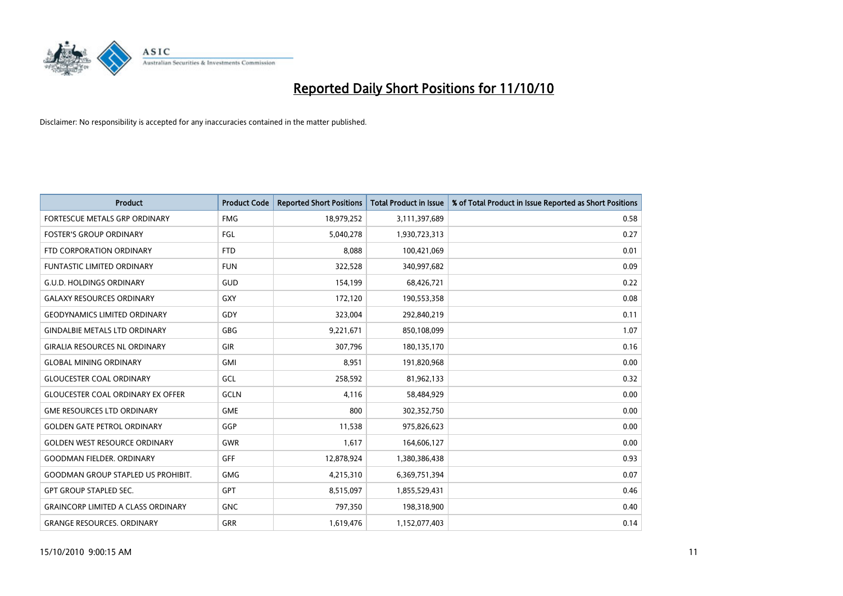

| <b>Product</b>                            | <b>Product Code</b> | <b>Reported Short Positions</b> | Total Product in Issue | % of Total Product in Issue Reported as Short Positions |
|-------------------------------------------|---------------------|---------------------------------|------------------------|---------------------------------------------------------|
| <b>FORTESCUE METALS GRP ORDINARY</b>      | <b>FMG</b>          | 18,979,252                      | 3,111,397,689          | 0.58                                                    |
| <b>FOSTER'S GROUP ORDINARY</b>            | FGL                 | 5,040,278                       | 1,930,723,313          | 0.27                                                    |
| FTD CORPORATION ORDINARY                  | <b>FTD</b>          | 8,088                           | 100,421,069            | 0.01                                                    |
| <b>FUNTASTIC LIMITED ORDINARY</b>         | <b>FUN</b>          | 322,528                         | 340,997,682            | 0.09                                                    |
| <b>G.U.D. HOLDINGS ORDINARY</b>           | <b>GUD</b>          | 154,199                         | 68,426,721             | 0.22                                                    |
| <b>GALAXY RESOURCES ORDINARY</b>          | <b>GXY</b>          | 172,120                         | 190,553,358            | 0.08                                                    |
| <b>GEODYNAMICS LIMITED ORDINARY</b>       | GDY                 | 323,004                         | 292,840,219            | 0.11                                                    |
| <b>GINDALBIE METALS LTD ORDINARY</b>      | <b>GBG</b>          | 9,221,671                       | 850,108,099            | 1.07                                                    |
| <b>GIRALIA RESOURCES NL ORDINARY</b>      | <b>GIR</b>          | 307,796                         | 180,135,170            | 0.16                                                    |
| <b>GLOBAL MINING ORDINARY</b>             | <b>GMI</b>          | 8.951                           | 191,820,968            | 0.00                                                    |
| <b>GLOUCESTER COAL ORDINARY</b>           | GCL                 | 258,592                         | 81,962,133             | 0.32                                                    |
| <b>GLOUCESTER COAL ORDINARY EX OFFER</b>  | GCLN                | 4,116                           | 58,484,929             | 0.00                                                    |
| <b>GME RESOURCES LTD ORDINARY</b>         | <b>GME</b>          | 800                             | 302,352,750            | 0.00                                                    |
| <b>GOLDEN GATE PETROL ORDINARY</b>        | GGP                 | 11,538                          | 975,826,623            | 0.00                                                    |
| <b>GOLDEN WEST RESOURCE ORDINARY</b>      | <b>GWR</b>          | 1,617                           | 164,606,127            | 0.00                                                    |
| <b>GOODMAN FIELDER, ORDINARY</b>          | <b>GFF</b>          | 12,878,924                      | 1,380,386,438          | 0.93                                                    |
| <b>GOODMAN GROUP STAPLED US PROHIBIT.</b> | <b>GMG</b>          | 4,215,310                       | 6,369,751,394          | 0.07                                                    |
| <b>GPT GROUP STAPLED SEC.</b>             | <b>GPT</b>          | 8,515,097                       | 1,855,529,431          | 0.46                                                    |
| <b>GRAINCORP LIMITED A CLASS ORDINARY</b> | <b>GNC</b>          | 797,350                         | 198,318,900            | 0.40                                                    |
| <b>GRANGE RESOURCES. ORDINARY</b>         | GRR                 | 1,619,476                       | 1,152,077,403          | 0.14                                                    |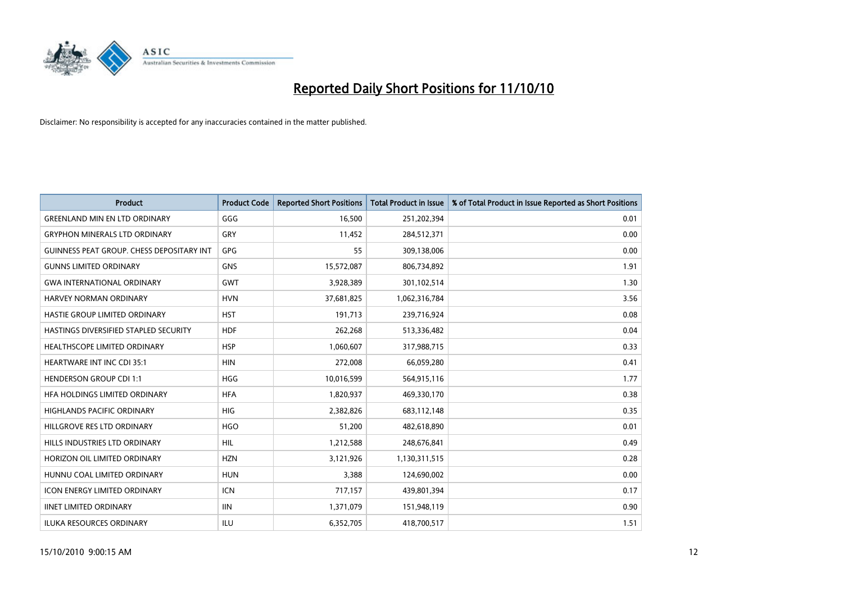

| <b>Product</b>                                   | <b>Product Code</b> | <b>Reported Short Positions</b> | <b>Total Product in Issue</b> | % of Total Product in Issue Reported as Short Positions |
|--------------------------------------------------|---------------------|---------------------------------|-------------------------------|---------------------------------------------------------|
| <b>GREENLAND MIN EN LTD ORDINARY</b>             | GGG                 | 16,500                          | 251,202,394                   | 0.01                                                    |
| <b>GRYPHON MINERALS LTD ORDINARY</b>             | GRY                 | 11,452                          | 284,512,371                   | 0.00                                                    |
| <b>GUINNESS PEAT GROUP. CHESS DEPOSITARY INT</b> | GPG                 | 55                              | 309,138,006                   | 0.00                                                    |
| <b>GUNNS LIMITED ORDINARY</b>                    | <b>GNS</b>          | 15,572,087                      | 806,734,892                   | 1.91                                                    |
| <b>GWA INTERNATIONAL ORDINARY</b>                | <b>GWT</b>          | 3,928,389                       | 301,102,514                   | 1.30                                                    |
| <b>HARVEY NORMAN ORDINARY</b>                    | <b>HVN</b>          | 37,681,825                      | 1,062,316,784                 | 3.56                                                    |
| HASTIE GROUP LIMITED ORDINARY                    | <b>HST</b>          | 191.713                         | 239,716,924                   | 0.08                                                    |
| HASTINGS DIVERSIFIED STAPLED SECURITY            | <b>HDF</b>          | 262,268                         | 513,336,482                   | 0.04                                                    |
| HEALTHSCOPE LIMITED ORDINARY                     | <b>HSP</b>          | 1,060,607                       | 317,988,715                   | 0.33                                                    |
| <b>HEARTWARE INT INC CDI 35:1</b>                | <b>HIN</b>          | 272,008                         | 66,059,280                    | 0.41                                                    |
| <b>HENDERSON GROUP CDI 1:1</b>                   | <b>HGG</b>          | 10,016,599                      | 564,915,116                   | 1.77                                                    |
| HFA HOLDINGS LIMITED ORDINARY                    | <b>HFA</b>          | 1,820,937                       | 469,330,170                   | 0.38                                                    |
| <b>HIGHLANDS PACIFIC ORDINARY</b>                | <b>HIG</b>          | 2.382.826                       | 683,112,148                   | 0.35                                                    |
| HILLGROVE RES LTD ORDINARY                       | <b>HGO</b>          | 51,200                          | 482,618,890                   | 0.01                                                    |
| HILLS INDUSTRIES LTD ORDINARY                    | <b>HIL</b>          | 1,212,588                       | 248,676,841                   | 0.49                                                    |
| HORIZON OIL LIMITED ORDINARY                     | <b>HZN</b>          | 3,121,926                       | 1,130,311,515                 | 0.28                                                    |
| HUNNU COAL LIMITED ORDINARY                      | <b>HUN</b>          | 3,388                           | 124,690,002                   | 0.00                                                    |
| ICON ENERGY LIMITED ORDINARY                     | <b>ICN</b>          | 717,157                         | 439,801,394                   | 0.17                                                    |
| <b>IINET LIMITED ORDINARY</b>                    | <b>IIN</b>          | 1,371,079                       | 151,948,119                   | 0.90                                                    |
| <b>ILUKA RESOURCES ORDINARY</b>                  | ILU                 | 6,352,705                       | 418,700,517                   | 1.51                                                    |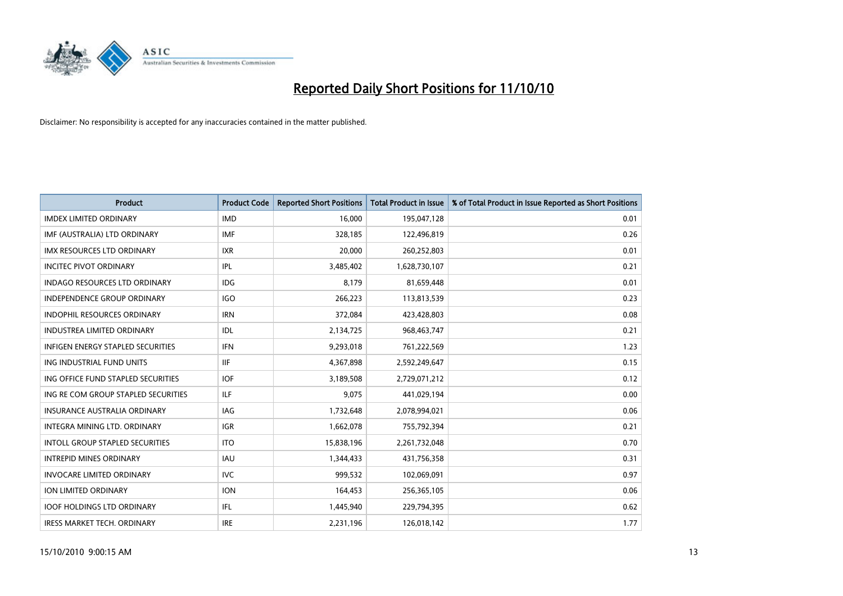

| <b>Product</b>                           | <b>Product Code</b> | <b>Reported Short Positions</b> | <b>Total Product in Issue</b> | % of Total Product in Issue Reported as Short Positions |
|------------------------------------------|---------------------|---------------------------------|-------------------------------|---------------------------------------------------------|
| <b>IMDEX LIMITED ORDINARY</b>            | <b>IMD</b>          | 16,000                          | 195,047,128                   | 0.01                                                    |
| IMF (AUSTRALIA) LTD ORDINARY             | <b>IMF</b>          | 328,185                         | 122,496,819                   | 0.26                                                    |
| <b>IMX RESOURCES LTD ORDINARY</b>        | <b>IXR</b>          | 20,000                          | 260,252,803                   | 0.01                                                    |
| <b>INCITEC PIVOT ORDINARY</b>            | <b>IPL</b>          | 3,485,402                       | 1,628,730,107                 | 0.21                                                    |
| <b>INDAGO RESOURCES LTD ORDINARY</b>     | IDG                 | 8,179                           | 81,659,448                    | 0.01                                                    |
| <b>INDEPENDENCE GROUP ORDINARY</b>       | <b>IGO</b>          | 266,223                         | 113,813,539                   | 0.23                                                    |
| <b>INDOPHIL RESOURCES ORDINARY</b>       | <b>IRN</b>          | 372.084                         | 423,428,803                   | 0.08                                                    |
| <b>INDUSTREA LIMITED ORDINARY</b>        | <b>IDL</b>          | 2,134,725                       | 968,463,747                   | 0.21                                                    |
| <b>INFIGEN ENERGY STAPLED SECURITIES</b> | <b>IFN</b>          | 9,293,018                       | 761,222,569                   | 1.23                                                    |
| ING INDUSTRIAL FUND UNITS                | <b>IIF</b>          | 4,367,898                       | 2,592,249,647                 | 0.15                                                    |
| ING OFFICE FUND STAPLED SECURITIES       | <b>IOF</b>          | 3,189,508                       | 2,729,071,212                 | 0.12                                                    |
| ING RE COM GROUP STAPLED SECURITIES      | <b>ILF</b>          | 9,075                           | 441,029,194                   | 0.00                                                    |
| <b>INSURANCE AUSTRALIA ORDINARY</b>      | IAG                 | 1,732,648                       | 2,078,994,021                 | 0.06                                                    |
| INTEGRA MINING LTD, ORDINARY             | <b>IGR</b>          | 1,662,078                       | 755,792,394                   | 0.21                                                    |
| <b>INTOLL GROUP STAPLED SECURITIES</b>   | <b>ITO</b>          | 15,838,196                      | 2,261,732,048                 | 0.70                                                    |
| <b>INTREPID MINES ORDINARY</b>           | <b>IAU</b>          | 1,344,433                       | 431,756,358                   | 0.31                                                    |
| <b>INVOCARE LIMITED ORDINARY</b>         | <b>IVC</b>          | 999,532                         | 102,069,091                   | 0.97                                                    |
| ION LIMITED ORDINARY                     | <b>ION</b>          | 164,453                         | 256,365,105                   | 0.06                                                    |
| <b>IOOF HOLDINGS LTD ORDINARY</b>        | IFL.                | 1,445,940                       | 229,794,395                   | 0.62                                                    |
| <b>IRESS MARKET TECH. ORDINARY</b>       | <b>IRE</b>          | 2,231,196                       | 126,018,142                   | 1.77                                                    |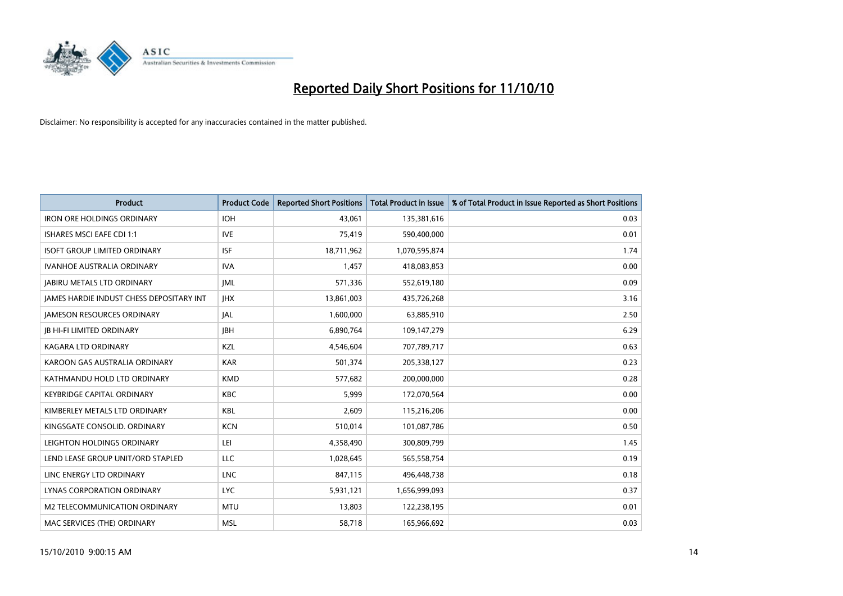

| <b>Product</b>                                  | <b>Product Code</b> | <b>Reported Short Positions</b> | Total Product in Issue | % of Total Product in Issue Reported as Short Positions |
|-------------------------------------------------|---------------------|---------------------------------|------------------------|---------------------------------------------------------|
| <b>IRON ORE HOLDINGS ORDINARY</b>               | <b>IOH</b>          | 43.061                          | 135,381,616            | 0.03                                                    |
| ISHARES MSCI EAFE CDI 1:1                       | <b>IVE</b>          | 75,419                          | 590,400,000            | 0.01                                                    |
| <b>ISOFT GROUP LIMITED ORDINARY</b>             | <b>ISF</b>          | 18,711,962                      | 1,070,595,874          | 1.74                                                    |
| <b>IVANHOE AUSTRALIA ORDINARY</b>               | <b>IVA</b>          | 1,457                           | 418,083,853            | 0.00                                                    |
| <b>JABIRU METALS LTD ORDINARY</b>               | <b>JML</b>          | 571,336                         | 552,619,180            | 0.09                                                    |
| <b>IAMES HARDIE INDUST CHESS DEPOSITARY INT</b> | <b>IHX</b>          | 13,861,003                      | 435,726,268            | 3.16                                                    |
| <b>JAMESON RESOURCES ORDINARY</b>               | <b>JAL</b>          | 1,600,000                       | 63,885,910             | 2.50                                                    |
| <b>JB HI-FI LIMITED ORDINARY</b>                | <b>IBH</b>          | 6,890,764                       | 109,147,279            | 6.29                                                    |
| <b>KAGARA LTD ORDINARY</b>                      | KZL                 | 4,546,604                       | 707,789,717            | 0.63                                                    |
| KAROON GAS AUSTRALIA ORDINARY                   | <b>KAR</b>          | 501,374                         | 205,338,127            | 0.23                                                    |
| KATHMANDU HOLD LTD ORDINARY                     | <b>KMD</b>          | 577,682                         | 200,000,000            | 0.28                                                    |
| <b>KEYBRIDGE CAPITAL ORDINARY</b>               | <b>KBC</b>          | 5,999                           | 172,070,564            | 0.00                                                    |
| KIMBERLEY METALS LTD ORDINARY                   | <b>KBL</b>          | 2,609                           | 115,216,206            | 0.00                                                    |
| KINGSGATE CONSOLID. ORDINARY                    | <b>KCN</b>          | 510,014                         | 101,087,786            | 0.50                                                    |
| LEIGHTON HOLDINGS ORDINARY                      | LEI                 | 4,358,490                       | 300,809,799            | 1.45                                                    |
| LEND LEASE GROUP UNIT/ORD STAPLED               | LLC                 | 1,028,645                       | 565,558,754            | 0.19                                                    |
| LINC ENERGY LTD ORDINARY                        | <b>LNC</b>          | 847,115                         | 496,448,738            | 0.18                                                    |
| LYNAS CORPORATION ORDINARY                      | <b>LYC</b>          | 5,931,121                       | 1,656,999,093          | 0.37                                                    |
| M2 TELECOMMUNICATION ORDINARY                   | <b>MTU</b>          | 13,803                          | 122,238,195            | 0.01                                                    |
| MAC SERVICES (THE) ORDINARY                     | <b>MSL</b>          | 58,718                          | 165,966,692            | 0.03                                                    |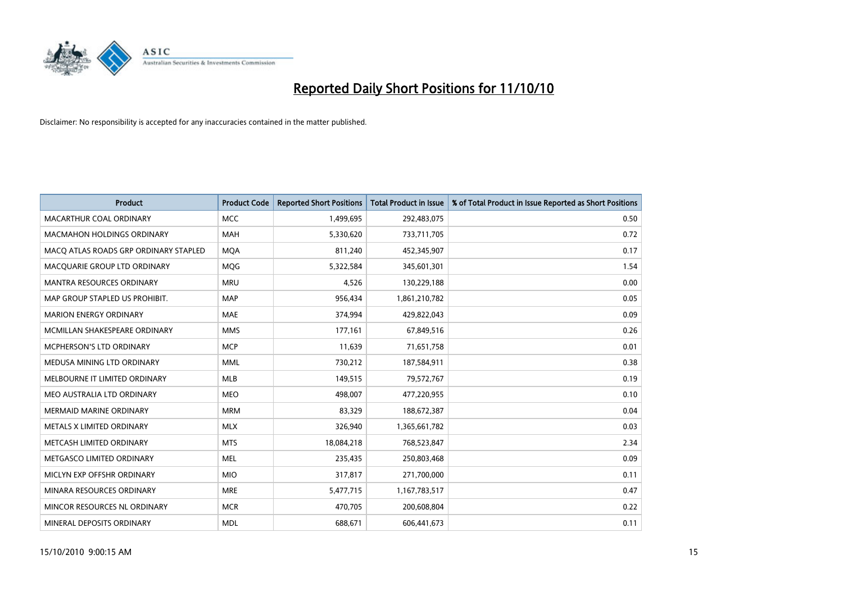

| <b>Product</b>                        | <b>Product Code</b> | <b>Reported Short Positions</b> | <b>Total Product in Issue</b> | % of Total Product in Issue Reported as Short Positions |
|---------------------------------------|---------------------|---------------------------------|-------------------------------|---------------------------------------------------------|
| MACARTHUR COAL ORDINARY               | <b>MCC</b>          | 1,499,695                       | 292,483,075                   | 0.50                                                    |
| <b>MACMAHON HOLDINGS ORDINARY</b>     | <b>MAH</b>          | 5,330,620                       | 733,711,705                   | 0.72                                                    |
| MACO ATLAS ROADS GRP ORDINARY STAPLED | <b>MOA</b>          | 811.240                         | 452,345,907                   | 0.17                                                    |
| MACQUARIE GROUP LTD ORDINARY          | MQG                 | 5,322,584                       | 345,601,301                   | 1.54                                                    |
| <b>MANTRA RESOURCES ORDINARY</b>      | <b>MRU</b>          | 4,526                           | 130,229,188                   | 0.00                                                    |
| MAP GROUP STAPLED US PROHIBIT.        | <b>MAP</b>          | 956,434                         | 1,861,210,782                 | 0.05                                                    |
| <b>MARION ENERGY ORDINARY</b>         | <b>MAE</b>          | 374,994                         | 429,822,043                   | 0.09                                                    |
| MCMILLAN SHAKESPEARE ORDINARY         | <b>MMS</b>          | 177,161                         | 67,849,516                    | 0.26                                                    |
| MCPHERSON'S LTD ORDINARY              | <b>MCP</b>          | 11,639                          | 71,651,758                    | 0.01                                                    |
| MEDUSA MINING LTD ORDINARY            | <b>MML</b>          | 730,212                         | 187,584,911                   | 0.38                                                    |
| MELBOURNE IT LIMITED ORDINARY         | <b>MLB</b>          | 149,515                         | 79,572,767                    | 0.19                                                    |
| MEO AUSTRALIA LTD ORDINARY            | <b>MEO</b>          | 498.007                         | 477,220,955                   | 0.10                                                    |
| <b>MERMAID MARINE ORDINARY</b>        | <b>MRM</b>          | 83,329                          | 188,672,387                   | 0.04                                                    |
| METALS X LIMITED ORDINARY             | <b>MLX</b>          | 326,940                         | 1,365,661,782                 | 0.03                                                    |
| METCASH LIMITED ORDINARY              | <b>MTS</b>          | 18,084,218                      | 768,523,847                   | 2.34                                                    |
| METGASCO LIMITED ORDINARY             | <b>MEL</b>          | 235,435                         | 250,803,468                   | 0.09                                                    |
| MICLYN EXP OFFSHR ORDINARY            | <b>MIO</b>          | 317,817                         | 271,700,000                   | 0.11                                                    |
| MINARA RESOURCES ORDINARY             | <b>MRE</b>          | 5,477,715                       | 1,167,783,517                 | 0.47                                                    |
| MINCOR RESOURCES NL ORDINARY          | <b>MCR</b>          | 470,705                         | 200,608,804                   | 0.22                                                    |
| MINERAL DEPOSITS ORDINARY             | <b>MDL</b>          | 688,671                         | 606,441,673                   | 0.11                                                    |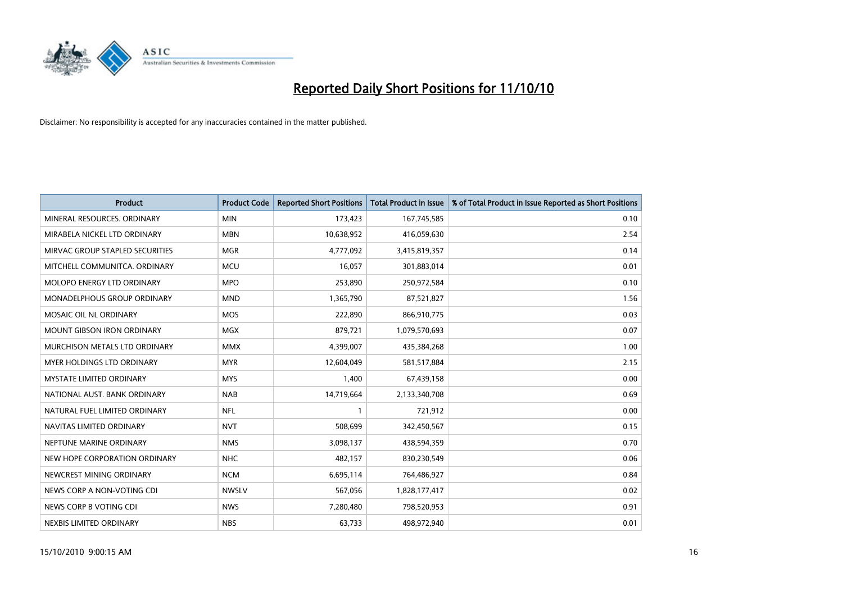

| <b>Product</b>                    | <b>Product Code</b> | <b>Reported Short Positions</b> | <b>Total Product in Issue</b> | % of Total Product in Issue Reported as Short Positions |
|-----------------------------------|---------------------|---------------------------------|-------------------------------|---------------------------------------------------------|
| MINERAL RESOURCES, ORDINARY       | <b>MIN</b>          | 173,423                         | 167,745,585                   | 0.10                                                    |
| MIRABELA NICKEL LTD ORDINARY      | <b>MBN</b>          | 10,638,952                      | 416,059,630                   | 2.54                                                    |
| MIRVAC GROUP STAPLED SECURITIES   | <b>MGR</b>          | 4,777,092                       | 3,415,819,357                 | 0.14                                                    |
| MITCHELL COMMUNITCA. ORDINARY     | <b>MCU</b>          | 16,057                          | 301,883,014                   | 0.01                                                    |
| <b>MOLOPO ENERGY LTD ORDINARY</b> | <b>MPO</b>          | 253,890                         | 250,972,584                   | 0.10                                                    |
| MONADELPHOUS GROUP ORDINARY       | <b>MND</b>          | 1,365,790                       | 87,521,827                    | 1.56                                                    |
| <b>MOSAIC OIL NL ORDINARY</b>     | <b>MOS</b>          | 222,890                         | 866,910,775                   | 0.03                                                    |
| MOUNT GIBSON IRON ORDINARY        | <b>MGX</b>          | 879,721                         | 1,079,570,693                 | 0.07                                                    |
| MURCHISON METALS LTD ORDINARY     | <b>MMX</b>          | 4,399,007                       | 435,384,268                   | 1.00                                                    |
| MYER HOLDINGS LTD ORDINARY        | <b>MYR</b>          | 12,604,049                      | 581,517,884                   | 2.15                                                    |
| MYSTATE LIMITED ORDINARY          | <b>MYS</b>          | 1,400                           | 67,439,158                    | 0.00                                                    |
| NATIONAL AUST. BANK ORDINARY      | <b>NAB</b>          | 14,719,664                      | 2,133,340,708                 | 0.69                                                    |
| NATURAL FUEL LIMITED ORDINARY     | <b>NFL</b>          |                                 | 721,912                       | 0.00                                                    |
| NAVITAS LIMITED ORDINARY          | <b>NVT</b>          | 508,699                         | 342,450,567                   | 0.15                                                    |
| NEPTUNE MARINE ORDINARY           | <b>NMS</b>          | 3,098,137                       | 438,594,359                   | 0.70                                                    |
| NEW HOPE CORPORATION ORDINARY     | <b>NHC</b>          | 482,157                         | 830,230,549                   | 0.06                                                    |
| NEWCREST MINING ORDINARY          | <b>NCM</b>          | 6,695,114                       | 764,486,927                   | 0.84                                                    |
| NEWS CORP A NON-VOTING CDI        | <b>NWSLV</b>        | 567,056                         | 1,828,177,417                 | 0.02                                                    |
| NEWS CORP B VOTING CDI            | <b>NWS</b>          | 7,280,480                       | 798,520,953                   | 0.91                                                    |
| NEXBIS LIMITED ORDINARY           | <b>NBS</b>          | 63,733                          | 498,972,940                   | 0.01                                                    |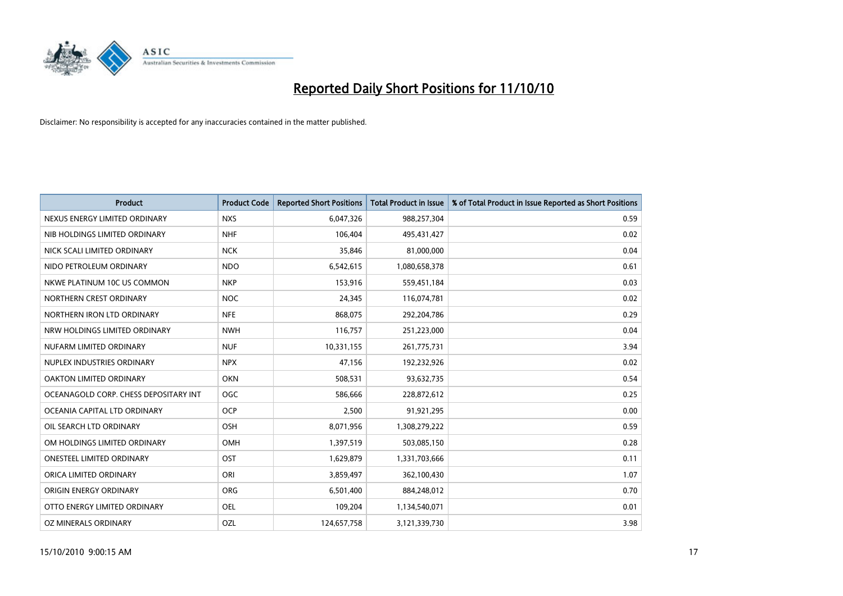

| <b>Product</b>                        | <b>Product Code</b> | <b>Reported Short Positions</b> | <b>Total Product in Issue</b> | % of Total Product in Issue Reported as Short Positions |
|---------------------------------------|---------------------|---------------------------------|-------------------------------|---------------------------------------------------------|
| NEXUS ENERGY LIMITED ORDINARY         | <b>NXS</b>          | 6,047,326                       | 988,257,304                   | 0.59                                                    |
| NIB HOLDINGS LIMITED ORDINARY         | <b>NHF</b>          | 106.404                         | 495,431,427                   | 0.02                                                    |
| NICK SCALI LIMITED ORDINARY           | <b>NCK</b>          | 35,846                          | 81,000,000                    | 0.04                                                    |
| NIDO PETROLEUM ORDINARY               | <b>NDO</b>          | 6,542,615                       | 1,080,658,378                 | 0.61                                                    |
| NKWE PLATINUM 10C US COMMON           | <b>NKP</b>          | 153,916                         | 559,451,184                   | 0.03                                                    |
| NORTHERN CREST ORDINARY               | <b>NOC</b>          | 24,345                          | 116,074,781                   | 0.02                                                    |
| NORTHERN IRON LTD ORDINARY            | <b>NFE</b>          | 868.075                         | 292,204,786                   | 0.29                                                    |
| NRW HOLDINGS LIMITED ORDINARY         | <b>NWH</b>          | 116,757                         | 251,223,000                   | 0.04                                                    |
| NUFARM LIMITED ORDINARY               | <b>NUF</b>          | 10,331,155                      | 261,775,731                   | 3.94                                                    |
| NUPLEX INDUSTRIES ORDINARY            | <b>NPX</b>          | 47,156                          | 192,232,926                   | 0.02                                                    |
| OAKTON LIMITED ORDINARY               | <b>OKN</b>          | 508,531                         | 93,632,735                    | 0.54                                                    |
| OCEANAGOLD CORP. CHESS DEPOSITARY INT | OGC                 | 586,666                         | 228,872,612                   | 0.25                                                    |
| OCEANIA CAPITAL LTD ORDINARY          | <b>OCP</b>          | 2,500                           | 91,921,295                    | 0.00                                                    |
| OIL SEARCH LTD ORDINARY               | OSH                 | 8,071,956                       | 1,308,279,222                 | 0.59                                                    |
| OM HOLDINGS LIMITED ORDINARY          | <b>OMH</b>          | 1,397,519                       | 503,085,150                   | 0.28                                                    |
| <b>ONESTEEL LIMITED ORDINARY</b>      | OST                 | 1,629,879                       | 1,331,703,666                 | 0.11                                                    |
| ORICA LIMITED ORDINARY                | ORI                 | 3,859,497                       | 362,100,430                   | 1.07                                                    |
| ORIGIN ENERGY ORDINARY                | <b>ORG</b>          | 6,501,400                       | 884,248,012                   | 0.70                                                    |
| OTTO ENERGY LIMITED ORDINARY          | <b>OEL</b>          | 109,204                         | 1,134,540,071                 | 0.01                                                    |
| OZ MINERALS ORDINARY                  | OZL                 | 124,657,758                     | 3,121,339,730                 | 3.98                                                    |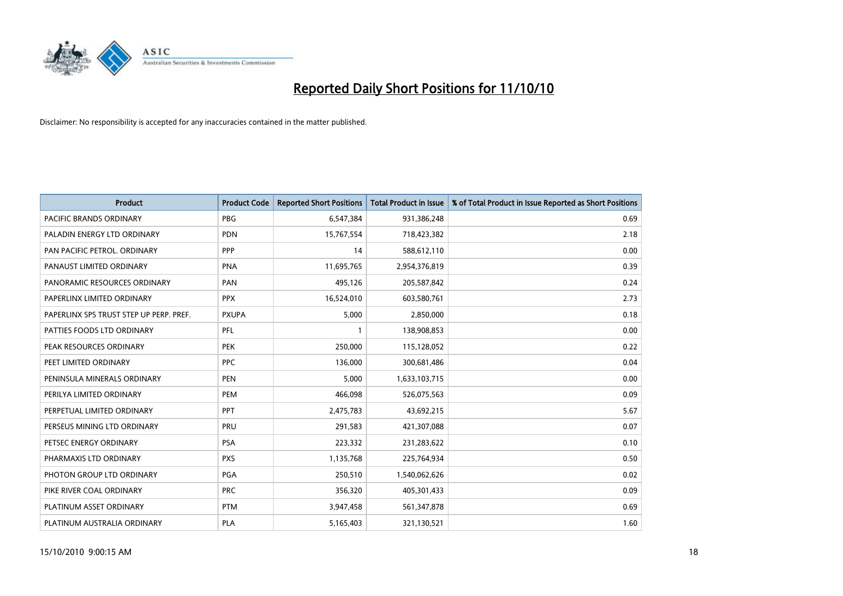

| <b>Product</b>                          | <b>Product Code</b> | <b>Reported Short Positions</b> | Total Product in Issue | % of Total Product in Issue Reported as Short Positions |
|-----------------------------------------|---------------------|---------------------------------|------------------------|---------------------------------------------------------|
| PACIFIC BRANDS ORDINARY                 | <b>PBG</b>          | 6,547,384                       | 931,386,248            | 0.69                                                    |
| PALADIN ENERGY LTD ORDINARY             | <b>PDN</b>          | 15,767,554                      | 718,423,382            | 2.18                                                    |
| PAN PACIFIC PETROL. ORDINARY            | PPP                 | 14                              | 588,612,110            | 0.00                                                    |
| PANAUST LIMITED ORDINARY                | <b>PNA</b>          | 11,695,765                      | 2,954,376,819          | 0.39                                                    |
| PANORAMIC RESOURCES ORDINARY            | PAN                 | 495,126                         | 205,587,842            | 0.24                                                    |
| PAPERLINX LIMITED ORDINARY              | <b>PPX</b>          | 16,524,010                      | 603,580,761            | 2.73                                                    |
| PAPERLINX SPS TRUST STEP UP PERP. PREF. | <b>PXUPA</b>        | 5,000                           | 2,850,000              | 0.18                                                    |
| PATTIES FOODS LTD ORDINARY              | PFL                 |                                 | 138,908,853            | 0.00                                                    |
| PEAK RESOURCES ORDINARY                 | <b>PEK</b>          | 250,000                         | 115,128,052            | 0.22                                                    |
| PEET LIMITED ORDINARY                   | PPC                 | 136,000                         | 300,681,486            | 0.04                                                    |
| PENINSULA MINERALS ORDINARY             | <b>PEN</b>          | 5,000                           | 1,633,103,715          | 0.00                                                    |
| PERILYA LIMITED ORDINARY                | PEM                 | 466,098                         | 526,075,563            | 0.09                                                    |
| PERPETUAL LIMITED ORDINARY              | PPT                 | 2,475,783                       | 43,692,215             | 5.67                                                    |
| PERSEUS MINING LTD ORDINARY             | PRU                 | 291,583                         | 421,307,088            | 0.07                                                    |
| PETSEC ENERGY ORDINARY                  | <b>PSA</b>          | 223,332                         | 231,283,622            | 0.10                                                    |
| PHARMAXIS LTD ORDINARY                  | <b>PXS</b>          | 1,135,768                       | 225,764,934            | 0.50                                                    |
| PHOTON GROUP LTD ORDINARY               | PGA                 | 250,510                         | 1,540,062,626          | 0.02                                                    |
| PIKE RIVER COAL ORDINARY                | <b>PRC</b>          | 356,320                         | 405,301,433            | 0.09                                                    |
| PLATINUM ASSET ORDINARY                 | <b>PTM</b>          | 3,947,458                       | 561,347,878            | 0.69                                                    |
| PLATINUM AUSTRALIA ORDINARY             | <b>PLA</b>          | 5,165,403                       | 321,130,521            | 1.60                                                    |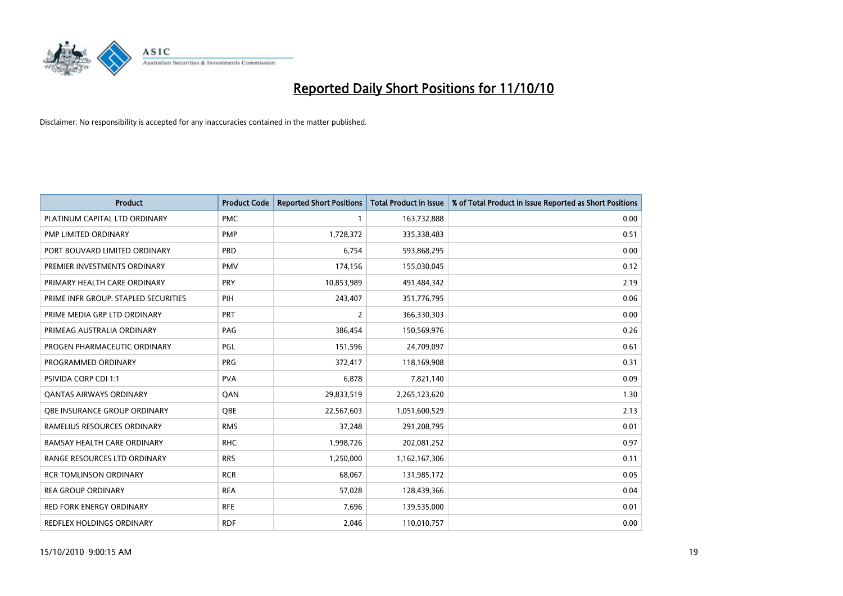

| <b>Product</b>                       | <b>Product Code</b> | <b>Reported Short Positions</b> | <b>Total Product in Issue</b> | % of Total Product in Issue Reported as Short Positions |
|--------------------------------------|---------------------|---------------------------------|-------------------------------|---------------------------------------------------------|
| PLATINUM CAPITAL LTD ORDINARY        | <b>PMC</b>          |                                 | 163,732,888                   | 0.00                                                    |
| <b>PMP LIMITED ORDINARY</b>          | <b>PMP</b>          | 1,728,372                       | 335,338,483                   | 0.51                                                    |
| PORT BOUVARD LIMITED ORDINARY        | PBD                 | 6,754                           | 593,868,295                   | 0.00                                                    |
| PREMIER INVESTMENTS ORDINARY         | <b>PMV</b>          | 174,156                         | 155,030,045                   | 0.12                                                    |
| PRIMARY HEALTH CARE ORDINARY         | <b>PRY</b>          | 10,853,989                      | 491,484,342                   | 2.19                                                    |
| PRIME INFR GROUP. STAPLED SECURITIES | PIH                 | 243,407                         | 351,776,795                   | 0.06                                                    |
| PRIME MEDIA GRP LTD ORDINARY         | PRT                 | 2                               | 366,330,303                   | 0.00                                                    |
| PRIMEAG AUSTRALIA ORDINARY           | PAG                 | 386,454                         | 150,569,976                   | 0.26                                                    |
| PROGEN PHARMACEUTIC ORDINARY         | <b>PGL</b>          | 151,596                         | 24,709,097                    | 0.61                                                    |
| PROGRAMMED ORDINARY                  | PRG                 | 372,417                         | 118,169,908                   | 0.31                                                    |
| PSIVIDA CORP CDI 1:1                 | <b>PVA</b>          | 6,878                           | 7,821,140                     | 0.09                                                    |
| <b>QANTAS AIRWAYS ORDINARY</b>       | QAN                 | 29,833,519                      | 2,265,123,620                 | 1.30                                                    |
| OBE INSURANCE GROUP ORDINARY         | <b>OBE</b>          | 22,567,603                      | 1,051,600,529                 | 2.13                                                    |
| RAMELIUS RESOURCES ORDINARY          | <b>RMS</b>          | 37,248                          | 291,208,795                   | 0.01                                                    |
| RAMSAY HEALTH CARE ORDINARY          | <b>RHC</b>          | 1,998,726                       | 202,081,252                   | 0.97                                                    |
| RANGE RESOURCES LTD ORDINARY         | <b>RRS</b>          | 1,250,000                       | 1,162,167,306                 | 0.11                                                    |
| <b>RCR TOMLINSON ORDINARY</b>        | <b>RCR</b>          | 68,067                          | 131,985,172                   | 0.05                                                    |
| <b>REA GROUP ORDINARY</b>            | <b>REA</b>          | 57,028                          | 128,439,366                   | 0.04                                                    |
| <b>RED FORK ENERGY ORDINARY</b>      | <b>RFE</b>          | 7,696                           | 139,535,000                   | 0.01                                                    |
| <b>REDFLEX HOLDINGS ORDINARY</b>     | <b>RDF</b>          | 2,046                           | 110,010,757                   | 0.00                                                    |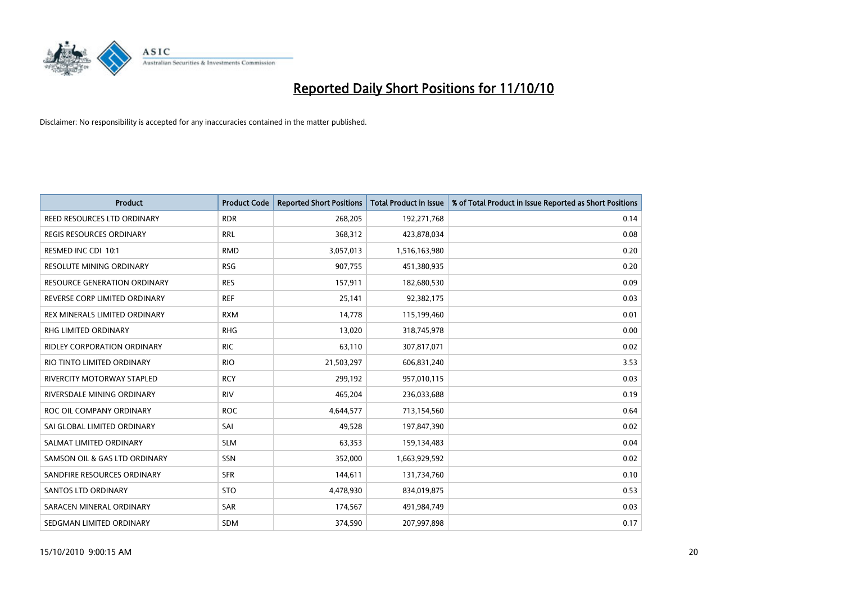

| <b>Product</b>                      | <b>Product Code</b> | <b>Reported Short Positions</b> | <b>Total Product in Issue</b> | % of Total Product in Issue Reported as Short Positions |
|-------------------------------------|---------------------|---------------------------------|-------------------------------|---------------------------------------------------------|
| REED RESOURCES LTD ORDINARY         | <b>RDR</b>          | 268,205                         | 192,271,768                   | 0.14                                                    |
| <b>REGIS RESOURCES ORDINARY</b>     | <b>RRL</b>          | 368,312                         | 423,878,034                   | 0.08                                                    |
| RESMED INC CDI 10:1                 | <b>RMD</b>          | 3,057,013                       | 1,516,163,980                 | 0.20                                                    |
| RESOLUTE MINING ORDINARY            | <b>RSG</b>          | 907,755                         | 451,380,935                   | 0.20                                                    |
| <b>RESOURCE GENERATION ORDINARY</b> | <b>RES</b>          | 157,911                         | 182,680,530                   | 0.09                                                    |
| REVERSE CORP LIMITED ORDINARY       | <b>REF</b>          | 25,141                          | 92,382,175                    | 0.03                                                    |
| REX MINERALS LIMITED ORDINARY       | <b>RXM</b>          | 14,778                          | 115,199,460                   | 0.01                                                    |
| <b>RHG LIMITED ORDINARY</b>         | <b>RHG</b>          | 13,020                          | 318,745,978                   | 0.00                                                    |
| RIDLEY CORPORATION ORDINARY         | <b>RIC</b>          | 63,110                          | 307,817,071                   | 0.02                                                    |
| RIO TINTO LIMITED ORDINARY          | <b>RIO</b>          | 21,503,297                      | 606,831,240                   | 3.53                                                    |
| RIVERCITY MOTORWAY STAPLED          | <b>RCY</b>          | 299,192                         | 957,010,115                   | 0.03                                                    |
| RIVERSDALE MINING ORDINARY          | <b>RIV</b>          | 465,204                         | 236,033,688                   | 0.19                                                    |
| ROC OIL COMPANY ORDINARY            | <b>ROC</b>          | 4,644,577                       | 713,154,560                   | 0.64                                                    |
| SAI GLOBAL LIMITED ORDINARY         | SAI                 | 49,528                          | 197,847,390                   | 0.02                                                    |
| SALMAT LIMITED ORDINARY             | <b>SLM</b>          | 63,353                          | 159,134,483                   | 0.04                                                    |
| SAMSON OIL & GAS LTD ORDINARY       | SSN                 | 352,000                         | 1,663,929,592                 | 0.02                                                    |
| SANDFIRE RESOURCES ORDINARY         | <b>SFR</b>          | 144,611                         | 131,734,760                   | 0.10                                                    |
| <b>SANTOS LTD ORDINARY</b>          | <b>STO</b>          | 4,478,930                       | 834,019,875                   | 0.53                                                    |
| SARACEN MINERAL ORDINARY            | SAR                 | 174,567                         | 491,984,749                   | 0.03                                                    |
| SEDGMAN LIMITED ORDINARY            | <b>SDM</b>          | 374.590                         | 207,997,898                   | 0.17                                                    |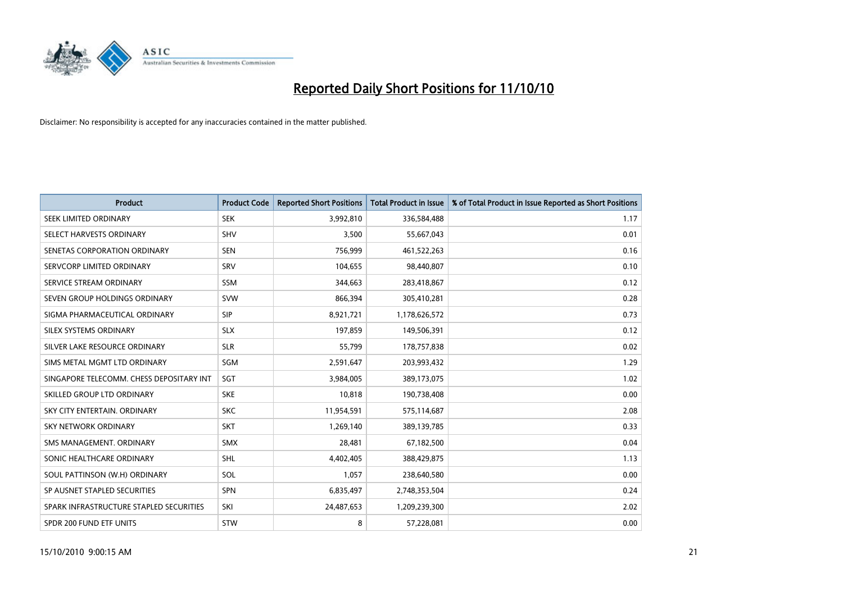

| <b>Product</b>                           | <b>Product Code</b> | <b>Reported Short Positions</b> | <b>Total Product in Issue</b> | % of Total Product in Issue Reported as Short Positions |
|------------------------------------------|---------------------|---------------------------------|-------------------------------|---------------------------------------------------------|
| SEEK LIMITED ORDINARY                    | <b>SEK</b>          | 3,992,810                       | 336,584,488                   | 1.17                                                    |
| SELECT HARVESTS ORDINARY                 | SHV                 | 3,500                           | 55,667,043                    | 0.01                                                    |
| SENETAS CORPORATION ORDINARY             | <b>SEN</b>          | 756.999                         | 461,522,263                   | 0.16                                                    |
| SERVCORP LIMITED ORDINARY                | SRV                 | 104,655                         | 98,440,807                    | 0.10                                                    |
| SERVICE STREAM ORDINARY                  | <b>SSM</b>          | 344,663                         | 283,418,867                   | 0.12                                                    |
| SEVEN GROUP HOLDINGS ORDINARY            | <b>SVW</b>          | 866,394                         | 305,410,281                   | 0.28                                                    |
| SIGMA PHARMACEUTICAL ORDINARY            | SIP                 | 8,921,721                       | 1,178,626,572                 | 0.73                                                    |
| SILEX SYSTEMS ORDINARY                   | <b>SLX</b>          | 197,859                         | 149,506,391                   | 0.12                                                    |
| SILVER LAKE RESOURCE ORDINARY            | <b>SLR</b>          | 55,799                          | 178,757,838                   | 0.02                                                    |
| SIMS METAL MGMT LTD ORDINARY             | SGM                 | 2,591,647                       | 203,993,432                   | 1.29                                                    |
| SINGAPORE TELECOMM. CHESS DEPOSITARY INT | SGT                 | 3,984,005                       | 389,173,075                   | 1.02                                                    |
| SKILLED GROUP LTD ORDINARY               | <b>SKE</b>          | 10,818                          | 190,738,408                   | 0.00                                                    |
| SKY CITY ENTERTAIN. ORDINARY             | <b>SKC</b>          | 11,954,591                      | 575,114,687                   | 2.08                                                    |
| <b>SKY NETWORK ORDINARY</b>              | SKT                 | 1,269,140                       | 389,139,785                   | 0.33                                                    |
| SMS MANAGEMENT, ORDINARY                 | <b>SMX</b>          | 28,481                          | 67,182,500                    | 0.04                                                    |
| SONIC HEALTHCARE ORDINARY                | <b>SHL</b>          | 4,402,405                       | 388,429,875                   | 1.13                                                    |
| SOUL PATTINSON (W.H) ORDINARY            | SOL                 | 1,057                           | 238,640,580                   | 0.00                                                    |
| SP AUSNET STAPLED SECURITIES             | SPN                 | 6,835,497                       | 2,748,353,504                 | 0.24                                                    |
| SPARK INFRASTRUCTURE STAPLED SECURITIES  | SKI                 | 24,487,653                      | 1,209,239,300                 | 2.02                                                    |
| SPDR 200 FUND ETF UNITS                  | <b>STW</b>          | 8                               | 57,228,081                    | 0.00                                                    |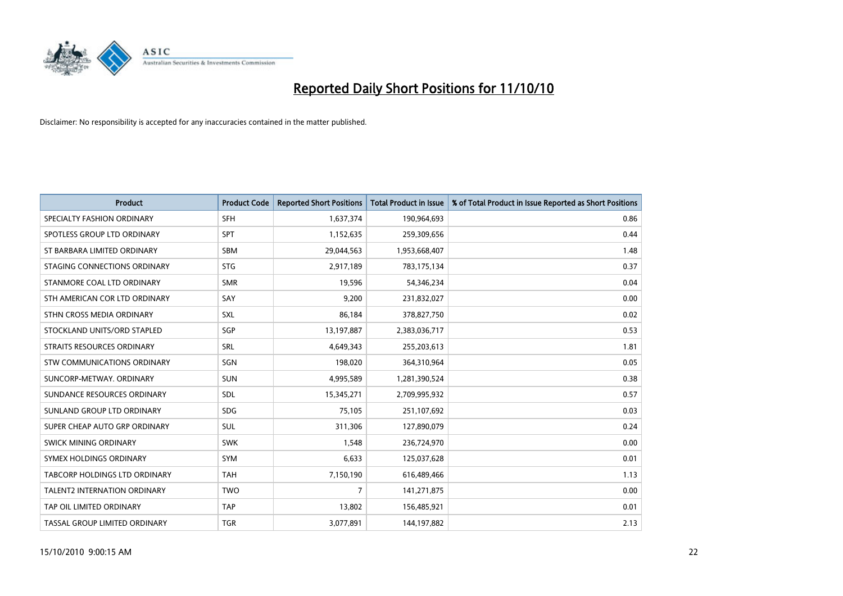

| <b>Product</b>                | <b>Product Code</b> | <b>Reported Short Positions</b> | <b>Total Product in Issue</b> | % of Total Product in Issue Reported as Short Positions |
|-------------------------------|---------------------|---------------------------------|-------------------------------|---------------------------------------------------------|
| SPECIALTY FASHION ORDINARY    | <b>SFH</b>          | 1,637,374                       | 190,964,693                   | 0.86                                                    |
| SPOTLESS GROUP LTD ORDINARY   | SPT                 | 1,152,635                       | 259,309,656                   | 0.44                                                    |
| ST BARBARA LIMITED ORDINARY   | <b>SBM</b>          | 29,044,563                      | 1,953,668,407                 | 1.48                                                    |
| STAGING CONNECTIONS ORDINARY  | <b>STG</b>          | 2,917,189                       | 783,175,134                   | 0.37                                                    |
| STANMORE COAL LTD ORDINARY    | <b>SMR</b>          | 19,596                          | 54,346,234                    | 0.04                                                    |
| STH AMERICAN COR LTD ORDINARY | SAY                 | 9,200                           | 231,832,027                   | 0.00                                                    |
| STHN CROSS MEDIA ORDINARY     | SXL                 | 86,184                          | 378,827,750                   | 0.02                                                    |
| STOCKLAND UNITS/ORD STAPLED   | SGP                 | 13,197,887                      | 2,383,036,717                 | 0.53                                                    |
| STRAITS RESOURCES ORDINARY    | SRL                 | 4,649,343                       | 255,203,613                   | 1.81                                                    |
| STW COMMUNICATIONS ORDINARY   | SGN                 | 198,020                         | 364,310,964                   | 0.05                                                    |
| SUNCORP-METWAY, ORDINARY      | <b>SUN</b>          | 4,995,589                       | 1,281,390,524                 | 0.38                                                    |
| SUNDANCE RESOURCES ORDINARY   | <b>SDL</b>          | 15,345,271                      | 2,709,995,932                 | 0.57                                                    |
| SUNLAND GROUP LTD ORDINARY    | <b>SDG</b>          | 75,105                          | 251,107,692                   | 0.03                                                    |
| SUPER CHEAP AUTO GRP ORDINARY | SUL                 | 311,306                         | 127,890,079                   | 0.24                                                    |
| SWICK MINING ORDINARY         | <b>SWK</b>          | 1,548                           | 236,724,970                   | 0.00                                                    |
| SYMEX HOLDINGS ORDINARY       | SYM                 | 6,633                           | 125,037,628                   | 0.01                                                    |
| TABCORP HOLDINGS LTD ORDINARY | <b>TAH</b>          | 7,150,190                       | 616,489,466                   | 1.13                                                    |
| TALENT2 INTERNATION ORDINARY  | <b>TWO</b>          | 7                               | 141,271,875                   | 0.00                                                    |
| TAP OIL LIMITED ORDINARY      | <b>TAP</b>          | 13,802                          | 156,485,921                   | 0.01                                                    |
| TASSAL GROUP LIMITED ORDINARY | <b>TGR</b>          | 3,077,891                       | 144,197,882                   | 2.13                                                    |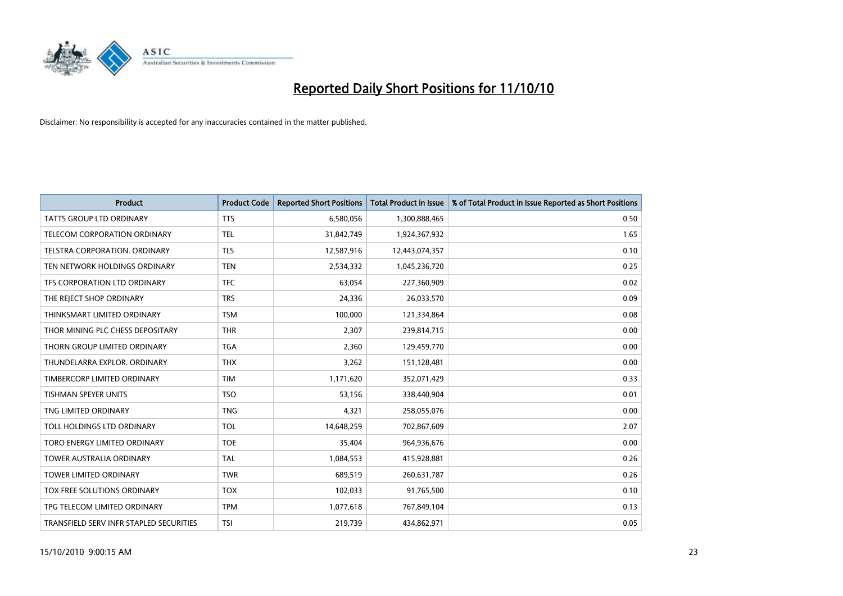

| <b>Product</b>                          | <b>Product Code</b> | <b>Reported Short Positions</b> | Total Product in Issue | % of Total Product in Issue Reported as Short Positions |
|-----------------------------------------|---------------------|---------------------------------|------------------------|---------------------------------------------------------|
| <b>TATTS GROUP LTD ORDINARY</b>         | <b>TTS</b>          | 6,580,056                       | 1,300,888,465          | 0.50                                                    |
| TELECOM CORPORATION ORDINARY            | <b>TEL</b>          | 31,842,749                      | 1,924,367,932          | 1.65                                                    |
| TELSTRA CORPORATION, ORDINARY           | <b>TLS</b>          | 12,587,916                      | 12,443,074,357         | 0.10                                                    |
| TEN NETWORK HOLDINGS ORDINARY           | <b>TEN</b>          | 2,534,332                       | 1,045,236,720          | 0.25                                                    |
| TFS CORPORATION LTD ORDINARY            | <b>TFC</b>          | 63,054                          | 227,360,909            | 0.02                                                    |
| THE REJECT SHOP ORDINARY                | <b>TRS</b>          | 24,336                          | 26,033,570             | 0.09                                                    |
| THINKSMART LIMITED ORDINARY             | <b>TSM</b>          | 100,000                         | 121,334,864            | 0.08                                                    |
| THOR MINING PLC CHESS DEPOSITARY        | <b>THR</b>          | 2,307                           | 239,814,715            | 0.00                                                    |
| THORN GROUP LIMITED ORDINARY            | <b>TGA</b>          | 2,360                           | 129,459,770            | 0.00                                                    |
| THUNDELARRA EXPLOR, ORDINARY            | <b>THX</b>          | 3,262                           | 151,128,481            | 0.00                                                    |
| TIMBERCORP LIMITED ORDINARY             | <b>TIM</b>          | 1,171,620                       | 352,071,429            | 0.33                                                    |
| <b>TISHMAN SPEYER UNITS</b>             | <b>TSO</b>          | 53,156                          | 338,440,904            | 0.01                                                    |
| TNG LIMITED ORDINARY                    | <b>TNG</b>          | 4,321                           | 258,055,076            | 0.00                                                    |
| TOLL HOLDINGS LTD ORDINARY              | <b>TOL</b>          | 14,648,259                      | 702,867,609            | 2.07                                                    |
| TORO ENERGY LIMITED ORDINARY            | <b>TOE</b>          | 35,404                          | 964,936,676            | 0.00                                                    |
| <b>TOWER AUSTRALIA ORDINARY</b>         | <b>TAL</b>          | 1,084,553                       | 415,928,881            | 0.26                                                    |
| TOWER LIMITED ORDINARY                  | <b>TWR</b>          | 689,519                         | 260,631,787            | 0.26                                                    |
| TOX FREE SOLUTIONS ORDINARY             | <b>TOX</b>          | 102,033                         | 91,765,500             | 0.10                                                    |
| TPG TELECOM LIMITED ORDINARY            | <b>TPM</b>          | 1,077,618                       | 767,849,104            | 0.13                                                    |
| TRANSFIELD SERV INFR STAPLED SECURITIES | <b>TSI</b>          | 219,739                         | 434,862,971            | 0.05                                                    |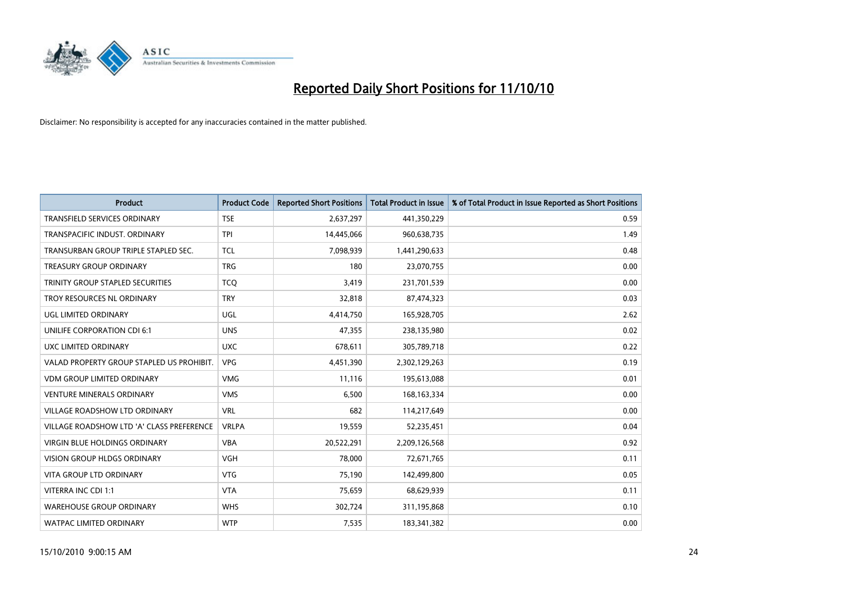

| <b>Product</b>                            | <b>Product Code</b> | <b>Reported Short Positions</b> | <b>Total Product in Issue</b> | % of Total Product in Issue Reported as Short Positions |
|-------------------------------------------|---------------------|---------------------------------|-------------------------------|---------------------------------------------------------|
| <b>TRANSFIELD SERVICES ORDINARY</b>       | <b>TSE</b>          | 2,637,297                       | 441,350,229                   | 0.59                                                    |
| TRANSPACIFIC INDUST. ORDINARY             | <b>TPI</b>          | 14,445,066                      | 960,638,735                   | 1.49                                                    |
| TRANSURBAN GROUP TRIPLE STAPLED SEC.      | <b>TCL</b>          | 7,098,939                       | 1,441,290,633                 | 0.48                                                    |
| TREASURY GROUP ORDINARY                   | <b>TRG</b>          | 180                             | 23,070,755                    | 0.00                                                    |
| TRINITY GROUP STAPLED SECURITIES          | <b>TCO</b>          | 3,419                           | 231,701,539                   | 0.00                                                    |
| TROY RESOURCES NL ORDINARY                | <b>TRY</b>          | 32,818                          | 87,474,323                    | 0.03                                                    |
| UGL LIMITED ORDINARY                      | UGL                 | 4,414,750                       | 165,928,705                   | 2.62                                                    |
| UNILIFE CORPORATION CDI 6:1               | <b>UNS</b>          | 47,355                          | 238,135,980                   | 0.02                                                    |
| UXC LIMITED ORDINARY                      | <b>UXC</b>          | 678,611                         | 305,789,718                   | 0.22                                                    |
| VALAD PROPERTY GROUP STAPLED US PROHIBIT. | <b>VPG</b>          | 4,451,390                       | 2,302,129,263                 | 0.19                                                    |
| VDM GROUP LIMITED ORDINARY                | <b>VMG</b>          | 11,116                          | 195,613,088                   | 0.01                                                    |
| <b>VENTURE MINERALS ORDINARY</b>          | <b>VMS</b>          | 6,500                           | 168, 163, 334                 | 0.00                                                    |
| VILLAGE ROADSHOW LTD ORDINARY             | <b>VRL</b>          | 682                             | 114,217,649                   | 0.00                                                    |
| VILLAGE ROADSHOW LTD 'A' CLASS PREFERENCE | <b>VRLPA</b>        | 19,559                          | 52,235,451                    | 0.04                                                    |
| <b>VIRGIN BLUE HOLDINGS ORDINARY</b>      | <b>VBA</b>          | 20,522,291                      | 2,209,126,568                 | 0.92                                                    |
| <b>VISION GROUP HLDGS ORDINARY</b>        | <b>VGH</b>          | 78,000                          | 72,671,765                    | 0.11                                                    |
| VITA GROUP LTD ORDINARY                   | <b>VTG</b>          | 75,190                          | 142,499,800                   | 0.05                                                    |
| VITERRA INC CDI 1:1                       | <b>VTA</b>          | 75,659                          | 68,629,939                    | 0.11                                                    |
| <b>WAREHOUSE GROUP ORDINARY</b>           | <b>WHS</b>          | 302,724                         | 311,195,868                   | 0.10                                                    |
| WATPAC LIMITED ORDINARY                   | <b>WTP</b>          | 7,535                           | 183,341,382                   | 0.00                                                    |